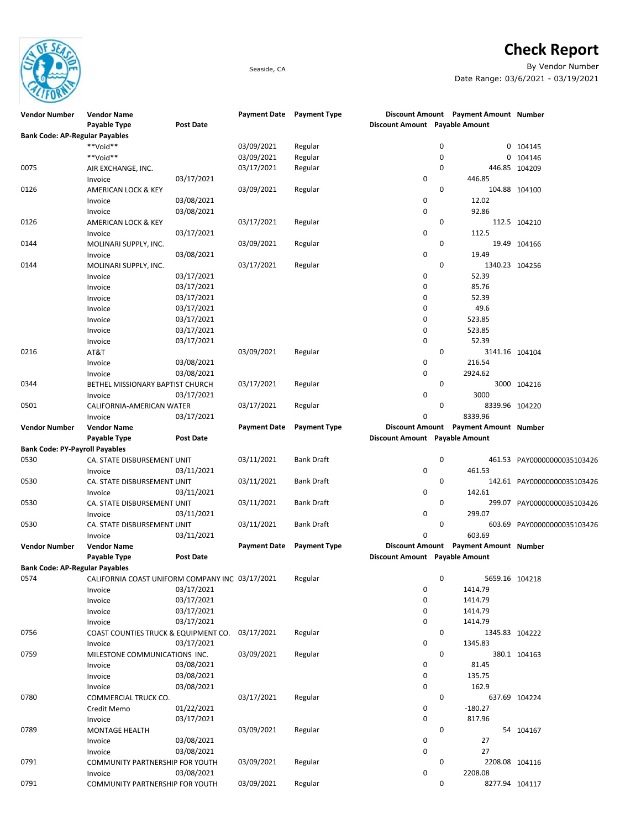

## **Check Report**

Seaside, CA By Vendor Number Date Range: 03/6/2021 - 03/19/2021

| <b>Vendor Number</b>                  | <b>Vendor Name</b>                              |                  |                     | Payment Date Payment Type |                                | Discount Amount Payment Amount Number |                             |
|---------------------------------------|-------------------------------------------------|------------------|---------------------|---------------------------|--------------------------------|---------------------------------------|-----------------------------|
|                                       | Payable Type                                    | <b>Post Date</b> |                     |                           | Discount Amount Payable Amount |                                       |                             |
| <b>Bank Code: AP-Regular Payables</b> |                                                 |                  |                     |                           |                                |                                       |                             |
|                                       | **Void**                                        |                  | 03/09/2021          | Regular                   | 0                              |                                       | 0 104145                    |
|                                       | **Void**                                        |                  | 03/09/2021          | Regular                   | 0                              |                                       | 0 104146                    |
| 0075                                  | AIR EXCHANGE, INC.                              |                  | 03/17/2021          | Regular                   | 0                              |                                       | 446.85 104209               |
|                                       | Invoice                                         | 03/17/2021       |                     |                           | 0                              | 446.85                                |                             |
| 0126                                  | AMERICAN LOCK & KEY                             |                  | 03/09/2021          | Regular                   | 0                              |                                       | 104.88 104100               |
|                                       | Invoice                                         | 03/08/2021       |                     |                           | 0                              | 12.02                                 |                             |
|                                       |                                                 |                  |                     |                           | $\mathbf 0$                    |                                       |                             |
|                                       | Invoice                                         | 03/08/2021       |                     |                           |                                | 92.86                                 |                             |
| 0126                                  | AMERICAN LOCK & KEY                             |                  | 03/17/2021          | Regular                   | 0                              |                                       | 112.5 104210                |
|                                       | Invoice                                         | 03/17/2021       |                     |                           | 0                              | 112.5                                 |                             |
| 0144                                  | MOLINARI SUPPLY, INC.                           |                  | 03/09/2021          | Regular                   | 0                              |                                       | 19.49 104166                |
|                                       | Invoice                                         | 03/08/2021       |                     |                           | $\mathbf 0$                    | 19.49                                 |                             |
| 0144                                  | MOLINARI SUPPLY, INC.                           |                  | 03/17/2021          | Regular                   | 0                              | 1340.23 104256                        |                             |
|                                       | Invoice                                         | 03/17/2021       |                     |                           | 0                              | 52.39                                 |                             |
|                                       | Invoice                                         | 03/17/2021       |                     |                           | 0                              | 85.76                                 |                             |
|                                       | Invoice                                         | 03/17/2021       |                     |                           | 0                              | 52.39                                 |                             |
|                                       | Invoice                                         | 03/17/2021       |                     |                           | $\mathbf 0$                    | 49.6                                  |                             |
|                                       | Invoice                                         | 03/17/2021       |                     |                           | 0                              | 523.85                                |                             |
|                                       | Invoice                                         | 03/17/2021       |                     |                           | 0                              | 523.85                                |                             |
|                                       | Invoice                                         | 03/17/2021       |                     |                           | $\mathbf 0$                    | 52.39                                 |                             |
|                                       |                                                 |                  |                     |                           |                                |                                       |                             |
| 0216                                  | AT&T                                            |                  | 03/09/2021          | Regular                   | 0                              | 3141.16 104104                        |                             |
|                                       | Invoice                                         | 03/08/2021       |                     |                           | 0                              | 216.54                                |                             |
|                                       | Invoice                                         | 03/08/2021       |                     |                           | $\mathbf 0$                    | 2924.62                               |                             |
| 0344                                  | BETHEL MISSIONARY BAPTIST CHURCH                |                  | 03/17/2021          | Regular                   | 0                              |                                       | 3000 104216                 |
|                                       | Invoice                                         | 03/17/2021       |                     |                           | $\pmb{0}$                      | 3000                                  |                             |
| 0501                                  | CALIFORNIA-AMERICAN WATER                       |                  | 03/17/2021          | Regular                   | 0                              | 8339.96 104220                        |                             |
|                                       | Invoice                                         | 03/17/2021       |                     |                           | $\mathbf 0$                    | 8339.96                               |                             |
| <b>Vendor Number</b>                  | <b>Vendor Name</b>                              |                  | <b>Payment Date</b> | <b>Payment Type</b>       |                                | Discount Amount Payment Amount Number |                             |
|                                       | Payable Type                                    | <b>Post Date</b> |                     |                           | Discount Amount Payable Amount |                                       |                             |
| <b>Bank Code: PY-Payroll Payables</b> |                                                 |                  |                     |                           |                                |                                       |                             |
| 0530                                  | CA. STATE DISBURSEMENT UNIT                     |                  | 03/11/2021          | <b>Bank Draft</b>         | 0                              |                                       | 461.53 PAY00000000035103426 |
|                                       | Invoice                                         | 03/11/2021       |                     |                           | $\pmb{0}$                      | 461.53                                |                             |
| 0530                                  |                                                 |                  | 03/11/2021          | <b>Bank Draft</b>         | 0                              |                                       |                             |
|                                       | CA. STATE DISBURSEMENT UNIT                     |                  |                     |                           |                                | 142.61                                | 142.61 PAY00000000035103426 |
|                                       | Invoice                                         | 03/11/2021       |                     |                           | 0                              |                                       |                             |
| 0530                                  | CA. STATE DISBURSEMENT UNIT                     |                  | 03/11/2021          | <b>Bank Draft</b>         | 0                              |                                       | 299.07 PAY00000000035103426 |
|                                       | Invoice                                         | 03/11/2021       |                     |                           | $\pmb{0}$                      | 299.07                                |                             |
| 0530                                  | CA. STATE DISBURSEMENT UNIT                     |                  | 03/11/2021          | <b>Bank Draft</b>         | 0                              |                                       | 603.69 PAY00000000035103426 |
|                                       | Invoice                                         | 03/11/2021       |                     |                           | $\mathbf 0$                    | 603.69                                |                             |
| <b>Vendor Number</b>                  | <b>Vendor Name</b>                              |                  | <b>Payment Date</b> | <b>Payment Type</b>       |                                | Discount Amount Payment Amount Number |                             |
|                                       | Payable Type                                    | <b>Post Date</b> |                     |                           | Discount Amount Payable Amount |                                       |                             |
| <b>Bank Code: AP-Regular Payables</b> |                                                 |                  |                     |                           |                                |                                       |                             |
| 0574                                  | CALIFORNIA COAST UNIFORM COMPANY INC 03/17/2021 |                  |                     | Regular                   | 0                              | 5659.16 104218                        |                             |
|                                       | Invoice                                         | 03/17/2021       |                     |                           | 0                              | 1414.79                               |                             |
|                                       | Invoice                                         | 03/17/2021       |                     |                           | $\pmb{0}$                      | 1414.79                               |                             |
|                                       | Invoice                                         | 03/17/2021       |                     |                           | $\pmb{0}$                      | 1414.79                               |                             |
|                                       |                                                 | 03/17/2021       |                     |                           |                                |                                       |                             |
|                                       | Invoice                                         |                  |                     |                           | $\pmb{0}$                      | 1414.79                               |                             |
| 0756                                  | COAST COUNTIES TRUCK & EQUIPMENT CO. 03/17/2021 |                  |                     | Regular                   | 0                              | 1345.83 104222                        |                             |
|                                       | Invoice                                         | 03/17/2021       |                     |                           | 0                              | 1345.83                               |                             |
| 0759                                  | MILESTONE COMMUNICATIONS INC.                   |                  | 03/09/2021          | Regular                   | 0                              |                                       | 380.1 104163                |
|                                       | Invoice                                         | 03/08/2021       |                     |                           | $\pmb{0}$                      | 81.45                                 |                             |
|                                       | Invoice                                         | 03/08/2021       |                     |                           | $\pmb{0}$                      | 135.75                                |                             |
|                                       | Invoice                                         | 03/08/2021       |                     |                           | 0                              | 162.9                                 |                             |
| 0780                                  | COMMERCIAL TRUCK CO.                            |                  | 03/17/2021          | Regular                   | 0                              |                                       | 637.69 104224               |
|                                       | Credit Memo                                     | 01/22/2021       |                     |                           | 0                              | $-180.27$                             |                             |
|                                       | Invoice                                         | 03/17/2021       |                     |                           | $\pmb{0}$                      | 817.96                                |                             |
|                                       |                                                 |                  |                     |                           | 0                              |                                       |                             |
| 0789                                  | <b>MONTAGE HEALTH</b>                           |                  | 03/09/2021          | Regular                   |                                |                                       | 54 104167                   |
|                                       | Invoice                                         | 03/08/2021       |                     |                           | 0                              | 27                                    |                             |
|                                       | Invoice                                         | 03/08/2021       |                     |                           | $\mathbf 0$                    | 27                                    |                             |
| 0791                                  | COMMUNITY PARTNERSHIP FOR YOUTH                 |                  | 03/09/2021          | Regular                   | 0                              | 2208.08 104116                        |                             |
|                                       | Invoice                                         | 03/08/2021       |                     |                           | $\pmb{0}$                      | 2208.08                               |                             |
| 0791                                  | COMMUNITY PARTNERSHIP FOR YOUTH                 |                  | 03/09/2021          | Regular                   | 0                              | 8277.94 104117                        |                             |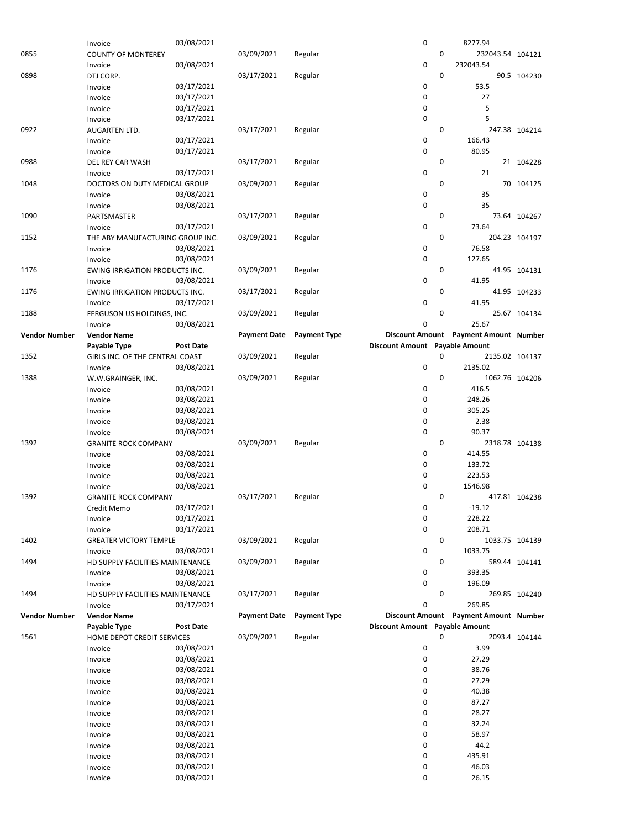|                      | Invoice                                     | 03/08/2021               |                     |                     | 0                              |             | 8277.94                               |               |
|----------------------|---------------------------------------------|--------------------------|---------------------|---------------------|--------------------------------|-------------|---------------------------------------|---------------|
| 0855                 | <b>COUNTY OF MONTEREY</b>                   |                          | 03/09/2021          | Regular             |                                | 0           | 232043.54 104121                      |               |
|                      | Invoice                                     | 03/08/2021               |                     |                     | 0                              |             | 232043.54                             |               |
| 0898                 | DTJ CORP.                                   |                          | 03/17/2021          | Regular             |                                | 0           |                                       | 90.5 104230   |
|                      | Invoice                                     | 03/17/2021               |                     |                     | 0                              |             | 53.5                                  |               |
|                      | Invoice                                     | 03/17/2021               |                     |                     | 0                              |             | 27                                    |               |
|                      | Invoice                                     | 03/17/2021               |                     |                     | 0                              |             | 5                                     |               |
|                      | Invoice                                     | 03/17/2021               |                     |                     | 0                              |             | 5                                     |               |
| 0922                 | AUGARTEN LTD.                               | 03/17/2021               | 03/17/2021          | Regular             | 0                              | 0           | 166.43                                | 247.38 104214 |
|                      | Invoice<br>Invoice                          | 03/17/2021               |                     |                     | 0                              |             | 80.95                                 |               |
| 0988                 | <b>DEL REY CAR WASH</b>                     |                          | 03/17/2021          | Regular             |                                | 0           |                                       | 21 104228     |
|                      | Invoice                                     | 03/17/2021               |                     |                     | 0                              |             | 21                                    |               |
| 1048                 | DOCTORS ON DUTY MEDICAL GROUP               |                          | 03/09/2021          | Regular             |                                | $\mathbf 0$ |                                       | 70 104125     |
|                      | Invoice                                     | 03/08/2021               |                     |                     | 0                              |             | 35                                    |               |
|                      | Invoice                                     | 03/08/2021               |                     |                     | 0                              |             | 35                                    |               |
| 1090                 | PARTSMASTER                                 |                          | 03/17/2021          | Regular             |                                | 0           |                                       | 73.64 104267  |
|                      | Invoice                                     | 03/17/2021               |                     |                     | 0                              |             | 73.64                                 |               |
| 1152                 | THE ABY MANUFACTURING GROUP INC.            |                          | 03/09/2021          | Regular             |                                | 0           |                                       | 204.23 104197 |
|                      | Invoice<br>Invoice                          | 03/08/2021<br>03/08/2021 |                     |                     | 0<br>0                         |             | 76.58<br>127.65                       |               |
| 1176                 | EWING IRRIGATION PRODUCTS INC.              |                          | 03/09/2021          | Regular             |                                | 0           |                                       | 41.95 104131  |
|                      | Invoice                                     | 03/08/2021               |                     |                     | 0                              |             | 41.95                                 |               |
| 1176                 | EWING IRRIGATION PRODUCTS INC.              |                          | 03/17/2021          | Regular             |                                | 0           |                                       | 41.95 104233  |
|                      | Invoice                                     | 03/17/2021               |                     |                     | $\mathbf 0$                    |             | 41.95                                 |               |
| 1188                 | FERGUSON US HOLDINGS, INC.                  |                          | 03/09/2021          | Regular             |                                | 0           |                                       | 25.67 104134  |
|                      | Invoice                                     | 03/08/2021               |                     |                     | 0                              |             | 25.67                                 |               |
| <b>Vendor Number</b> | <b>Vendor Name</b>                          |                          | <b>Payment Date</b> | <b>Payment Type</b> |                                |             | Discount Amount Payment Amount Number |               |
|                      | Payable Type                                | <b>Post Date</b>         |                     |                     | Discount Amount Payable Amount |             |                                       |               |
| 1352                 | GIRLS INC. OF THE CENTRAL COAST             |                          | 03/09/2021          | Regular             | 0                              | 0           | 2135.02 104137<br>2135.02             |               |
| 1388                 | Invoice                                     | 03/08/2021               | 03/09/2021          | Regular             |                                | 0           | 1062.76 104206                        |               |
|                      | W.W.GRAINGER, INC.<br>Invoice               | 03/08/2021               |                     |                     | 0                              |             | 416.5                                 |               |
|                      | Invoice                                     | 03/08/2021               |                     |                     | 0                              |             | 248.26                                |               |
|                      | Invoice                                     | 03/08/2021               |                     |                     | 0                              |             | 305.25                                |               |
|                      | Invoice                                     | 03/08/2021               |                     |                     | 0                              |             | 2.38                                  |               |
|                      | Invoice                                     | 03/08/2021               |                     |                     | 0                              |             | 90.37                                 |               |
| 1392                 | <b>GRANITE ROCK COMPANY</b>                 |                          | 03/09/2021          | Regular             |                                | 0           | 2318.78 104138                        |               |
|                      | Invoice                                     | 03/08/2021               |                     |                     | 0                              |             | 414.55                                |               |
|                      | Invoice                                     | 03/08/2021               |                     |                     | 0                              |             | 133.72                                |               |
|                      | Invoice                                     | 03/08/2021<br>03/08/2021 |                     |                     | 0<br>0                         |             | 223.53<br>1546.98                     |               |
| 1392                 | Invoice<br><b>GRANITE ROCK COMPANY</b>      |                          | 03/17/2021          | Regular             |                                | 0           |                                       | 417.81 104238 |
|                      | Credit Memo                                 | 03/17/2021               |                     |                     | 0                              |             | $-19.12$                              |               |
|                      | Invoice                                     | 03/17/2021               |                     |                     | 0                              |             | 228.22                                |               |
|                      | Invoice                                     | 03/17/2021               |                     |                     | 0                              |             | 208.71                                |               |
| 1402                 | <b>GREATER VICTORY TEMPLE</b>               |                          | 03/09/2021          | Regular             |                                | 0           | 1033.75 104139                        |               |
|                      | Invoice                                     | 03/08/2021               |                     |                     | 0                              |             | 1033.75                               |               |
| 1494                 | HD SUPPLY FACILITIES MAINTENANCE            |                          | 03/09/2021          | Regular             |                                | 0           |                                       | 589.44 104141 |
|                      | Invoice                                     | 03/08/2021               |                     |                     | 0                              |             | 393.35                                |               |
|                      | Invoice                                     | 03/08/2021               |                     |                     | 0                              | $\mathbf 0$ | 196.09                                |               |
| 1494                 | HD SUPPLY FACILITIES MAINTENANCE<br>Invoice | 03/17/2021               | 03/17/2021          | Regular             | 0                              |             | 269.85                                | 269.85 104240 |
| <b>Vendor Number</b> | <b>Vendor Name</b>                          |                          | <b>Payment Date</b> | <b>Payment Type</b> |                                |             | Discount Amount Payment Amount Number |               |
|                      | Payable Type                                | <b>Post Date</b>         |                     |                     | Discount Amount Payable Amount |             |                                       |               |
| 1561                 | HOME DEPOT CREDIT SERVICES                  |                          | 03/09/2021          | Regular             |                                | 0           |                                       | 2093.4 104144 |
|                      | Invoice                                     | 03/08/2021               |                     |                     | 0                              |             | 3.99                                  |               |
|                      | Invoice                                     | 03/08/2021               |                     |                     | 0                              |             | 27.29                                 |               |
|                      | Invoice                                     | 03/08/2021               |                     |                     | 0                              |             | 38.76                                 |               |
|                      | Invoice                                     | 03/08/2021               |                     |                     | 0                              |             | 27.29                                 |               |
|                      | Invoice                                     | 03/08/2021               |                     |                     | 0                              |             | 40.38                                 |               |
|                      | Invoice                                     | 03/08/2021               |                     |                     | 0                              |             | 87.27                                 |               |
|                      | Invoice                                     | 03/08/2021               |                     |                     | 0<br>0                         |             | 28.27                                 |               |
|                      | Invoice<br>Invoice                          | 03/08/2021<br>03/08/2021 |                     |                     | 0                              |             | 32.24<br>58.97                        |               |
|                      | Invoice                                     | 03/08/2021               |                     |                     | 0                              |             | 44.2                                  |               |
|                      | Invoice                                     | 03/08/2021               |                     |                     | 0                              |             | 435.91                                |               |
|                      | Invoice                                     | 03/08/2021               |                     |                     | 0                              |             | 46.03                                 |               |
|                      | Invoice                                     | 03/08/2021               |                     |                     | 0                              |             | 26.15                                 |               |
|                      |                                             |                          |                     |                     |                                |             |                                       |               |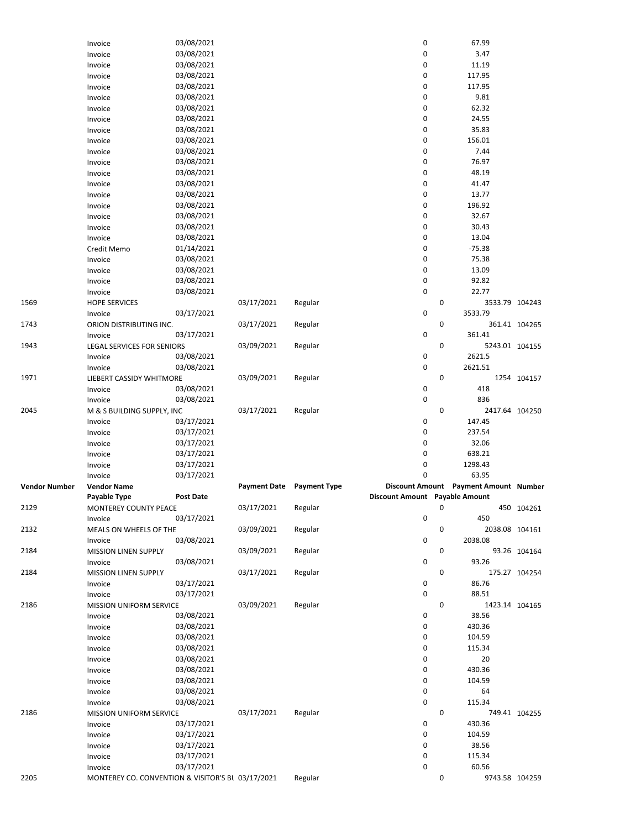|               | Invoice                                                      | 03/08/2021       |                     |                     | $\pmb{0}$                      |   | 67.99                                 |                |
|---------------|--------------------------------------------------------------|------------------|---------------------|---------------------|--------------------------------|---|---------------------------------------|----------------|
|               | Invoice                                                      | 03/08/2021       |                     |                     | 0                              |   | 3.47                                  |                |
|               | Invoice                                                      | 03/08/2021       |                     |                     | 0                              |   | 11.19                                 |                |
|               | Invoice                                                      | 03/08/2021       |                     |                     | 0                              |   | 117.95                                |                |
|               |                                                              |                  |                     |                     |                                |   |                                       |                |
|               | Invoice                                                      | 03/08/2021       |                     |                     | $\pmb{0}$                      |   | 117.95                                |                |
|               | Invoice                                                      | 03/08/2021       |                     |                     | 0                              |   | 9.81                                  |                |
|               | Invoice                                                      | 03/08/2021       |                     |                     | 0                              |   | 62.32                                 |                |
|               | Invoice                                                      | 03/08/2021       |                     |                     | 0                              |   | 24.55                                 |                |
|               |                                                              | 03/08/2021       |                     |                     | 0                              |   | 35.83                                 |                |
|               | Invoice                                                      |                  |                     |                     |                                |   |                                       |                |
|               | Invoice                                                      | 03/08/2021       |                     |                     | 0                              |   | 156.01                                |                |
|               | Invoice                                                      | 03/08/2021       |                     |                     | 0                              |   | 7.44                                  |                |
|               | Invoice                                                      | 03/08/2021       |                     |                     | 0                              |   | 76.97                                 |                |
|               | Invoice                                                      | 03/08/2021       |                     |                     | 0                              |   | 48.19                                 |                |
|               |                                                              |                  |                     |                     |                                |   |                                       |                |
|               | Invoice                                                      | 03/08/2021       |                     |                     | $\mathbf 0$                    |   | 41.47                                 |                |
|               | Invoice                                                      | 03/08/2021       |                     |                     | 0                              |   | 13.77                                 |                |
|               | Invoice                                                      | 03/08/2021       |                     |                     | 0                              |   | 196.92                                |                |
|               | Invoice                                                      | 03/08/2021       |                     |                     | 0                              |   | 32.67                                 |                |
|               |                                                              |                  |                     |                     |                                |   |                                       |                |
|               | Invoice                                                      | 03/08/2021       |                     |                     | 0                              |   | 30.43                                 |                |
|               | Invoice                                                      | 03/08/2021       |                     |                     | 0                              |   | 13.04                                 |                |
|               | Credit Memo                                                  | 01/14/2021       |                     |                     | 0                              |   | $-75.38$                              |                |
|               | Invoice                                                      | 03/08/2021       |                     |                     | $\mathbf 0$                    |   | 75.38                                 |                |
|               |                                                              |                  |                     |                     |                                |   |                                       |                |
|               | Invoice                                                      | 03/08/2021       |                     |                     | 0                              |   | 13.09                                 |                |
|               | Invoice                                                      | 03/08/2021       |                     |                     | 0                              |   | 92.82                                 |                |
|               | Invoice                                                      | 03/08/2021       |                     |                     | $\mathbf 0$                    |   | 22.77                                 |                |
| 1569          | <b>HOPE SERVICES</b>                                         |                  | 03/17/2021          | Regular             |                                | 0 | 3533.79 104243                        |                |
|               |                                                              | 03/17/2021       |                     |                     | $\mathbf 0$                    |   | 3533.79                               |                |
|               | Invoice                                                      |                  |                     |                     |                                |   |                                       |                |
| 1743          | ORION DISTRIBUTING INC.                                      |                  | 03/17/2021          | Regular             |                                | 0 |                                       | 361.41 104265  |
|               | Invoice                                                      | 03/17/2021       |                     |                     | $\mathbf 0$                    |   | 361.41                                |                |
| 1943          | LEGAL SERVICES FOR SENIORS                                   |                  | 03/09/2021          | Regular             |                                | 0 | 5243.01 104155                        |                |
|               | Invoice                                                      | 03/08/2021       |                     |                     | 0                              |   | 2621.5                                |                |
|               |                                                              |                  |                     |                     |                                |   |                                       |                |
|               | Invoice                                                      | 03/08/2021       |                     |                     | $\mathbf 0$                    |   | 2621.51                               |                |
| 1971          | LIEBERT CASSIDY WHITMORE                                     |                  | 03/09/2021          | Regular             |                                | 0 |                                       | 1254 104157    |
|               | Invoice                                                      | 03/08/2021       |                     |                     | 0                              |   | 418                                   |                |
|               | Invoice                                                      | 03/08/2021       |                     |                     | $\mathbf 0$                    |   | 836                                   |                |
|               |                                                              |                  |                     |                     |                                |   |                                       |                |
| 2045          | M & S BUILDING SUPPLY, INC                                   |                  | 03/17/2021          | Regular             |                                | 0 | 2417.64 104250                        |                |
|               | Invoice                                                      | 03/17/2021       |                     |                     | 0                              |   | 147.45                                |                |
|               | Invoice                                                      | 03/17/2021       |                     |                     | 0                              |   | 237.54                                |                |
|               | Invoice                                                      | 03/17/2021       |                     |                     | 0                              |   | 32.06                                 |                |
|               |                                                              |                  |                     |                     | $\mathbf 0$                    |   |                                       |                |
|               | Invoice                                                      | 03/17/2021       |                     |                     |                                |   | 638.21                                |                |
|               | Invoice                                                      | 03/17/2021       |                     |                     | 0                              |   | 1298.43                               |                |
|               | Invoice                                                      | 03/17/2021       |                     |                     | $\mathbf 0$                    |   | 63.95                                 |                |
| Vendor Number | <b>Vendor Name</b>                                           |                  | <b>Payment Date</b> | <b>Payment Type</b> |                                |   | Discount Amount Payment Amount Number |                |
|               | Payable Type                                                 | <b>Post Date</b> |                     |                     | Discount Amount Payable Amount |   |                                       |                |
|               |                                                              |                  |                     |                     |                                |   |                                       |                |
| 2129          | MONTEREY COUNTY PEACE                                        |                  | 03/17/2021          | Regular             |                                | υ |                                       | 450 104261     |
|               | Invoice                                                      | 03/17/2021       |                     |                     | 0                              |   | 450                                   |                |
| 2132          | MEALS ON WHEELS OF THE                                       |                  | 03/09/2021          | Regular             |                                | 0 |                                       | 2038.08 104161 |
|               | Invoice                                                      | 03/08/2021       |                     |                     | 0                              |   | 2038.08                               |                |
|               |                                                              |                  |                     |                     |                                |   |                                       |                |
| 2184          | <b>MISSION LINEN SUPPLY</b>                                  |                  | 03/09/2021          | Regular             |                                | 0 |                                       | 93.26 104164   |
|               | Invoice                                                      | 03/08/2021       |                     |                     | 0                              |   | 93.26                                 |                |
| 2184          | MISSION LINEN SUPPLY                                         |                  | 03/17/2021          | Regular             |                                | 0 |                                       | 175.27 104254  |
|               | Invoice                                                      | 03/17/2021       |                     |                     | 0                              |   | 86.76                                 |                |
|               |                                                              |                  |                     |                     | $\mathbf 0$                    |   | 88.51                                 |                |
|               | Invoice                                                      | 03/17/2021       |                     |                     |                                |   |                                       |                |
| 2186          | MISSION UNIFORM SERVICE                                      |                  | 03/09/2021          | Regular             |                                | 0 | 1423.14 104165                        |                |
|               | Invoice                                                      | 03/08/2021       |                     |                     | 0                              |   | 38.56                                 |                |
|               | Invoice                                                      | 03/08/2021       |                     |                     | 0                              |   | 430.36                                |                |
|               |                                                              | 03/08/2021       |                     |                     | 0                              |   | 104.59                                |                |
|               | Invoice                                                      |                  |                     |                     |                                |   |                                       |                |
|               | Invoice                                                      | 03/08/2021       |                     |                     | 0                              |   | 115.34                                |                |
|               | Invoice                                                      | 03/08/2021       |                     |                     | 0                              |   | 20                                    |                |
|               | Invoice                                                      | 03/08/2021       |                     |                     | 0                              |   | 430.36                                |                |
|               | Invoice                                                      | 03/08/2021       |                     |                     | 0                              |   | 104.59                                |                |
|               |                                                              |                  |                     |                     |                                |   |                                       |                |
|               | Invoice                                                      | 03/08/2021       |                     |                     | 0                              |   | 64                                    |                |
|               | Invoice                                                      | 03/08/2021       |                     |                     | $\mathbf 0$                    |   | 115.34                                |                |
| 2186          | MISSION UNIFORM SERVICE                                      |                  | 03/17/2021          | Regular             |                                | 0 |                                       | 749.41 104255  |
|               |                                                              |                  |                     |                     | 0                              |   | 430.36                                |                |
|               |                                                              |                  |                     |                     |                                |   |                                       |                |
|               | Invoice                                                      | 03/17/2021       |                     |                     |                                |   |                                       |                |
|               | Invoice                                                      | 03/17/2021       |                     |                     | $\mathbf 0$                    |   | 104.59                                |                |
|               | Invoice                                                      | 03/17/2021       |                     |                     | 0                              |   | 38.56                                 |                |
|               | Invoice                                                      | 03/17/2021       |                     |                     | $\mathbf 0$                    |   | 115.34                                |                |
|               |                                                              |                  |                     |                     |                                |   |                                       |                |
| 2205          | Invoice<br>MONTEREY CO. CONVENTION & VISITOR'S BL 03/17/2021 | 03/17/2021       |                     | Regular             | 0                              | 0 | 60.56<br>9743.58 104259               |                |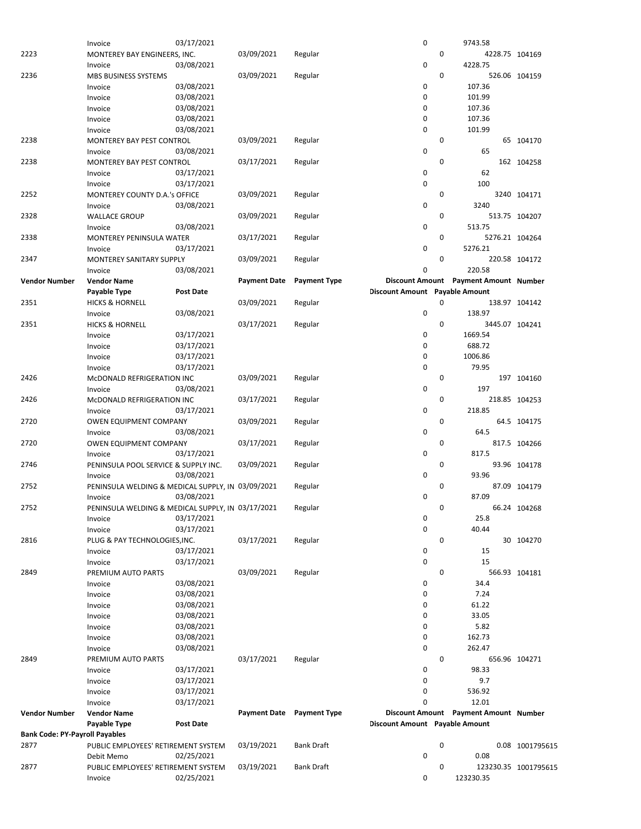|                                       | PUBLIC EMPLOYEES' RETIREMENT SYSTEM<br>Invoice    | 02/25/2021       |                     |                     | 0                              |   | 123230.35                             | 123230.35 1001795615 |
|---------------------------------------|---------------------------------------------------|------------------|---------------------|---------------------|--------------------------------|---|---------------------------------------|----------------------|
| 2877                                  | Debit Memo                                        | 02/25/2021       | 03/19/2021          | <b>Bank Draft</b>   |                                | 0 |                                       |                      |
|                                       | PUBLIC EMPLOYEES' RETIREMENT SYSTEM               |                  |                     |                     | 0                              |   | 0.08                                  | 0.08 1001795615      |
| 2877                                  |                                                   |                  | 03/19/2021          | <b>Bank Draft</b>   |                                | 0 |                                       |                      |
| <b>Bank Code: PY-Payroll Payables</b> |                                                   |                  |                     |                     |                                |   |                                       |                      |
|                                       | Payable Type                                      | <b>Post Date</b> |                     |                     | Discount Amount Payable Amount |   |                                       |                      |
| <b>Vendor Number</b>                  | <b>Vendor Name</b>                                |                  | <b>Payment Date</b> | <b>Payment Type</b> |                                |   | Discount Amount Payment Amount Number |                      |
|                                       | Invoice                                           | 03/17/2021       |                     |                     | 0                              |   | 12.01                                 |                      |
|                                       | Invoice                                           | 03/17/2021       |                     |                     | 0                              |   | 536.92                                |                      |
|                                       | Invoice                                           | 03/17/2021       |                     |                     | 0                              |   | 9.7                                   |                      |
|                                       | Invoice                                           | 03/17/2021       |                     |                     | 0                              |   | 98.33                                 |                      |
| 2849                                  | PREMIUM AUTO PARTS                                |                  | 03/17/2021          | Regular             |                                | 0 |                                       | 656.96 104271        |
|                                       | Invoice                                           | 03/08/2021       |                     |                     | 0                              |   | 262.47                                |                      |
|                                       | Invoice                                           | 03/08/2021       |                     |                     | 0                              |   | 162.73                                |                      |
|                                       | Invoice                                           | 03/08/2021       |                     |                     | 0                              |   | 5.82                                  |                      |
|                                       | Invoice                                           | 03/08/2021       |                     |                     | 0                              |   | 33.05                                 |                      |
|                                       | Invoice                                           | 03/08/2021       |                     |                     | 0                              |   | 61.22                                 |                      |
|                                       | Invoice                                           | 03/08/2021       |                     |                     | 0                              |   | 7.24                                  |                      |
|                                       | Invoice                                           | 03/08/2021       |                     |                     | 0                              |   | 34.4                                  |                      |
| 2849                                  | PREMIUM AUTO PARTS                                |                  | 03/09/2021          | Regular             |                                | 0 |                                       | 566.93 104181        |
|                                       | Invoice                                           | 03/17/2021       |                     |                     | 0                              |   | 15                                    |                      |
|                                       | Invoice                                           | 03/17/2021       |                     |                     | 0                              |   | 15                                    |                      |
| 2816                                  | PLUG & PAY TECHNOLOGIES, INC.                     |                  | 03/17/2021          | Regular             |                                | 0 |                                       | 30 104270            |
|                                       | Invoice                                           | 03/17/2021       |                     |                     | 0                              |   | 40.44                                 |                      |
|                                       | Invoice                                           | 03/17/2021       |                     |                     | 0                              |   | 25.8                                  |                      |
| 2752                                  | PENINSULA WELDING & MEDICAL SUPPLY, IN 03/17/2021 |                  |                     | Regular             |                                | 0 |                                       | 66.24 104268         |
|                                       | Invoice                                           | 03/08/2021       |                     |                     | 0                              |   | 87.09                                 |                      |
| 2752                                  | PENINSULA WELDING & MEDICAL SUPPLY, IN 03/09/2021 |                  |                     | Regular             |                                | 0 |                                       | 87.09 104179         |
|                                       | Invoice                                           | 03/08/2021       |                     |                     | 0                              |   | 93.96                                 |                      |
| 2746                                  | PENINSULA POOL SERVICE & SUPPLY INC.              |                  | 03/09/2021          | Regular             |                                | 0 |                                       | 93.96 104178         |
|                                       | Invoice                                           | 03/17/2021       |                     |                     | 0                              |   | 817.5                                 |                      |
| 2720                                  | <b>OWEN EQUIPMENT COMPANY</b>                     |                  | 03/17/2021          | Regular             |                                | 0 |                                       | 817.5 104266         |
|                                       | Invoice                                           | 03/08/2021       |                     |                     | 0                              |   | 64.5                                  |                      |
| 2720                                  | <b>OWEN EQUIPMENT COMPANY</b>                     |                  | 03/09/2021          | Regular             |                                | 0 |                                       | 64.5 104175          |
|                                       | Invoice                                           | 03/17/2021       |                     |                     | 0                              |   | 218.85                                |                      |
| 2426                                  | MCDONALD REFRIGERATION INC                        |                  | 03/17/2021          | Regular             |                                | 0 |                                       | 218.85 104253        |
|                                       | Invoice                                           | 03/08/2021       |                     |                     | 0                              |   | 197                                   |                      |
| 2426                                  | MCDONALD REFRIGERATION INC                        |                  | 03/09/2021          | Regular             |                                | 0 |                                       | 197 104160           |
|                                       | Invoice                                           | 03/17/2021       |                     |                     | 0                              |   | 79.95                                 |                      |
|                                       | Invoice                                           | 03/17/2021       |                     |                     | 0                              |   | 1006.86                               |                      |
|                                       | Invoice                                           | 03/17/2021       |                     |                     | 0                              |   | 688.72                                |                      |
|                                       | Invoice                                           | 03/17/2021       |                     |                     |                                |   |                                       |                      |
|                                       | <b>HICKS &amp; HORNELL</b>                        |                  | 03/17/2021          | Regular             | 0                              |   | 3445.07 104241<br>1669.54             |                      |
| 2351                                  | Invoice                                           |                  |                     |                     |                                | 0 |                                       |                      |
|                                       |                                                   | 03/08/2021       |                     |                     | 0                              |   | 138.97                                |                      |
| 2351                                  | <b>HICKS &amp; HORNELL</b>                        |                  | 03/09/2021          | Regular             |                                | 0 |                                       | 138.97 104142        |
|                                       | Payable Type                                      | <b>Post Date</b> |                     |                     | Discount Amount Payable Amount |   |                                       |                      |
| <b>Vendor Number</b>                  | <b>Vendor Name</b>                                |                  | <b>Payment Date</b> | <b>Payment Type</b> |                                |   | Discount Amount Payment Amount Number |                      |
|                                       | Invoice                                           | 03/08/2021       |                     |                     | 0                              |   | 220.58                                |                      |
| 2347                                  | <b>MONTEREY SANITARY SUPPLY</b>                   |                  | 03/09/2021          | Regular             |                                | 0 |                                       | 220.58 104172        |
|                                       | Invoice                                           | 03/17/2021       |                     |                     | 0                              |   | 5276.21                               |                      |
| 2338                                  | MONTEREY PENINSULA WATER                          |                  | 03/17/2021          | Regular             |                                | 0 | 5276.21 104264                        |                      |
|                                       | Invoice                                           | 03/08/2021       |                     |                     | 0                              |   | 513.75                                |                      |
| 2328                                  | <b>WALLACE GROUP</b>                              |                  | 03/09/2021          | Regular             |                                | 0 |                                       | 513.75 104207        |
|                                       | Invoice                                           | 03/08/2021       |                     |                     | 0                              |   | 3240                                  |                      |
| 2252                                  | Invoice<br>MONTEREY COUNTY D.A.'s OFFICE          |                  | 03/09/2021          | Regular             |                                | 0 |                                       | 3240 104171          |
|                                       | Invoice                                           | 03/17/2021       |                     |                     | 0                              |   | 100                                   |                      |
|                                       | MONTEREY BAY PEST CONTROL                         | 03/17/2021       | 03/17/2021          | Regular             | 0                              |   | 62                                    | 162 104258           |
| 2238                                  |                                                   |                  |                     |                     |                                | 0 |                                       |                      |
|                                       | Invoice                                           | 03/08/2021       |                     |                     | 0                              |   | 65                                    |                      |
| 2238                                  | MONTEREY BAY PEST CONTROL                         |                  | 03/09/2021          | Regular             |                                | 0 |                                       | 65 104170            |
|                                       | Invoice                                           | 03/08/2021       |                     |                     | 0                              |   | 101.99                                |                      |
|                                       | Invoice                                           | 03/08/2021       |                     |                     | 0                              |   | 107.36                                |                      |
|                                       | Invoice                                           | 03/08/2021       |                     |                     | 0                              |   | 107.36                                |                      |
|                                       | Invoice                                           | 03/08/2021       |                     |                     | 0                              |   | 101.99                                |                      |
|                                       | MBS BUSINESS SYSTEMS<br>Invoice                   | 03/08/2021       |                     |                     | 0                              |   | 107.36                                |                      |
| 2236                                  | Invoice                                           | 03/08/2021       | 03/09/2021          | Regular             | 0                              | 0 | 4228.75                               | 526.06 104159        |
| 2223                                  | MONTEREY BAY ENGINEERS, INC.                      |                  | 03/09/2021          | Regular             |                                | 0 | 4228.75 104169                        |                      |
|                                       | Invoice                                           | 03/17/2021       |                     |                     | 0                              |   | 9743.58                               |                      |
|                                       |                                                   |                  |                     |                     |                                |   |                                       |                      |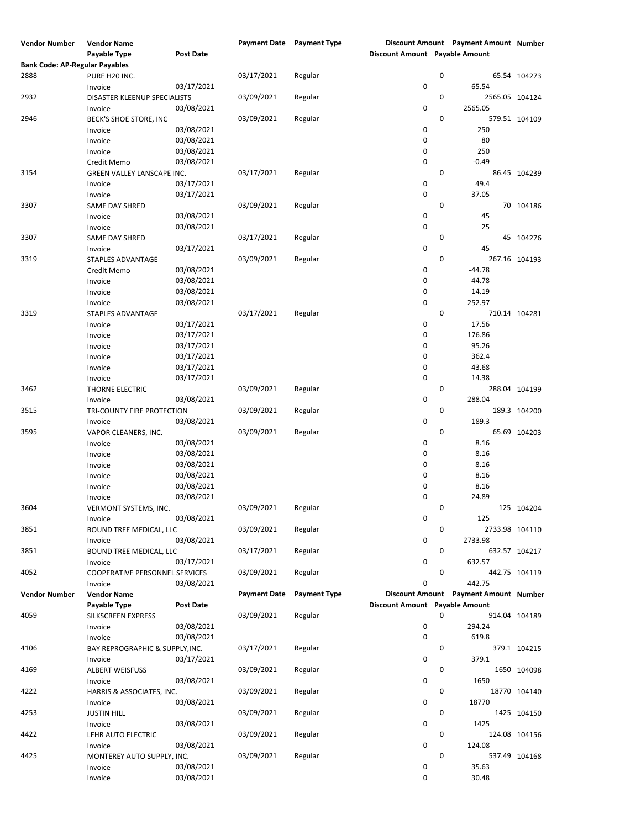| <b>Vendor Number</b>                  | <b>Vendor Name</b>              |                  |                     | <b>Payment Date</b> Payment Type |                                |   | Discount Amount Payment Amount Number |               |
|---------------------------------------|---------------------------------|------------------|---------------------|----------------------------------|--------------------------------|---|---------------------------------------|---------------|
|                                       | Payable Type                    | <b>Post Date</b> |                     |                                  | Discount Amount Payable Amount |   |                                       |               |
| <b>Bank Code: AP-Regular Payables</b> |                                 |                  |                     |                                  |                                |   |                                       |               |
| 2888                                  | PURE H20 INC.                   |                  | 03/17/2021          | Regular                          |                                | 0 |                                       | 65.54 104273  |
|                                       | Invoice                         | 03/17/2021       |                     |                                  | 0                              |   | 65.54                                 |               |
| 2932                                  | DISASTER KLEENUP SPECIALISTS    |                  | 03/09/2021          | Regular                          |                                | 0 | 2565.05 104124                        |               |
|                                       | Invoice                         | 03/08/2021       |                     |                                  | 0                              |   | 2565.05                               |               |
| 2946                                  | BECK'S SHOE STORE, INC          |                  | 03/09/2021          | Regular                          |                                | 0 |                                       | 579.51 104109 |
|                                       | Invoice                         | 03/08/2021       |                     |                                  | 0                              |   | 250                                   |               |
|                                       | Invoice                         | 03/08/2021       |                     |                                  | 0                              |   | 80                                    |               |
|                                       |                                 | 03/08/2021       |                     |                                  | 0                              |   | 250                                   |               |
|                                       | Invoice                         |                  |                     |                                  |                                |   |                                       |               |
|                                       | Credit Memo                     | 03/08/2021       |                     |                                  | $\pmb{0}$                      |   | $-0.49$                               |               |
| 3154                                  | GREEN VALLEY LANSCAPE INC.      |                  | 03/17/2021          | Regular                          |                                | 0 |                                       | 86.45 104239  |
|                                       | Invoice                         | 03/17/2021       |                     |                                  | 0                              |   | 49.4                                  |               |
|                                       | Invoice                         | 03/17/2021       |                     |                                  | $\mathbf 0$                    |   | 37.05                                 |               |
| 3307                                  | SAME DAY SHRED                  |                  | 03/09/2021          | Regular                          |                                | 0 |                                       | 70 104186     |
|                                       | Invoice                         | 03/08/2021       |                     |                                  | 0                              |   | 45                                    |               |
|                                       | Invoice                         | 03/08/2021       |                     |                                  | 0                              |   | 25                                    |               |
| 3307                                  | SAME DAY SHRED                  |                  | 03/17/2021          | Regular                          |                                | 0 |                                       | 45 104276     |
|                                       | Invoice                         | 03/17/2021       |                     |                                  | 0                              |   | 45                                    |               |
| 3319                                  | STAPLES ADVANTAGE               |                  | 03/09/2021          | Regular                          |                                | 0 |                                       | 267.16 104193 |
|                                       | Credit Memo                     | 03/08/2021       |                     |                                  | 0                              |   | $-44.78$                              |               |
|                                       | Invoice                         | 03/08/2021       |                     |                                  | 0                              |   | 44.78                                 |               |
|                                       | Invoice                         | 03/08/2021       |                     |                                  | 0                              |   | 14.19                                 |               |
|                                       | Invoice                         | 03/08/2021       |                     |                                  | $\pmb{0}$                      |   | 252.97                                |               |
| 3319                                  | STAPLES ADVANTAGE               |                  | 03/17/2021          | Regular                          |                                | 0 |                                       | 710.14 104281 |
|                                       |                                 |                  |                     |                                  | 0                              |   | 17.56                                 |               |
|                                       | Invoice                         | 03/17/2021       |                     |                                  |                                |   |                                       |               |
|                                       | Invoice                         | 03/17/2021       |                     |                                  | 0                              |   | 176.86                                |               |
|                                       | Invoice                         | 03/17/2021       |                     |                                  | 0                              |   | 95.26                                 |               |
|                                       | Invoice                         | 03/17/2021       |                     |                                  | 0                              |   | 362.4                                 |               |
|                                       | Invoice                         | 03/17/2021       |                     |                                  | 0                              |   | 43.68                                 |               |
|                                       | Invoice                         | 03/17/2021       |                     |                                  | 0                              |   | 14.38                                 |               |
| 3462                                  | THORNE ELECTRIC                 |                  | 03/09/2021          | Regular                          |                                | 0 |                                       | 288.04 104199 |
|                                       | Invoice                         | 03/08/2021       |                     |                                  | $\pmb{0}$                      |   | 288.04                                |               |
| 3515                                  | TRI-COUNTY FIRE PROTECTION      |                  | 03/09/2021          | Regular                          |                                | 0 |                                       | 189.3 104200  |
|                                       | Invoice                         | 03/08/2021       |                     |                                  | 0                              |   | 189.3                                 |               |
| 3595                                  | VAPOR CLEANERS, INC.            |                  | 03/09/2021          | Regular                          |                                | 0 |                                       | 65.69 104203  |
|                                       | Invoice                         | 03/08/2021       |                     |                                  | 0                              |   | 8.16                                  |               |
|                                       | Invoice                         | 03/08/2021       |                     |                                  | 0                              |   | 8.16                                  |               |
|                                       | Invoice                         | 03/08/2021       |                     |                                  | 0                              |   | 8.16                                  |               |
|                                       | Invoice                         | 03/08/2021       |                     |                                  | 0                              |   | 8.16                                  |               |
|                                       | Invoice                         | 03/08/2021       |                     |                                  | 0                              |   | 8.16                                  |               |
|                                       |                                 |                  |                     |                                  | 0                              |   | 24.89                                 |               |
|                                       | Invoice                         | 03/08/2021       |                     |                                  |                                |   |                                       |               |
| 3604                                  | VERMONT SYSTEMS, INC.           |                  | 03/09/2021          | Regular                          |                                | 0 |                                       | 125 104204    |
|                                       | Invoice                         | 03/08/2021       |                     |                                  | 0                              |   | 125                                   |               |
| 3851                                  | BOUND TREE MEDICAL, LLC         |                  | 03/09/2021          | Regular                          |                                | 0 | 2733.98 104110                        |               |
|                                       | Invoice                         | 03/08/2021       |                     |                                  | 0                              |   | 2733.98                               |               |
| 3851                                  | <b>BOUND TREE MEDICAL, LLC</b>  |                  | 03/17/2021          | Regular                          |                                | 0 |                                       | 632.57 104217 |
|                                       | Invoice                         | 03/17/2021       |                     |                                  | 0                              |   | 632.57                                |               |
| 4052                                  | COOPERATIVE PERSONNEL SERVICES  |                  | 03/09/2021          | Regular                          |                                | 0 |                                       | 442.75 104119 |
|                                       | Invoice                         | 03/08/2021       |                     |                                  | 0                              |   | 442.75                                |               |
| <b>Vendor Number</b>                  | <b>Vendor Name</b>              |                  | <b>Payment Date</b> | <b>Payment Type</b>              |                                |   | Discount Amount Payment Amount Number |               |
|                                       | Payable Type                    | <b>Post Date</b> |                     |                                  | Discount Amount Payable Amount |   |                                       |               |
| 4059                                  | SILKSCREEN EXPRESS              |                  | 03/09/2021          | Regular                          |                                | 0 |                                       | 914.04 104189 |
|                                       | Invoice                         | 03/08/2021       |                     |                                  | 0                              |   | 294.24                                |               |
|                                       | Invoice                         | 03/08/2021       |                     |                                  | 0                              |   | 619.8                                 |               |
| 4106                                  | BAY REPROGRAPHIC & SUPPLY, INC. |                  | 03/17/2021          | Regular                          |                                | 0 |                                       | 379.1 104215  |
|                                       |                                 | 03/17/2021       |                     |                                  | 0                              |   | 379.1                                 |               |
|                                       | Invoice                         |                  |                     |                                  |                                |   |                                       |               |
| 4169                                  | <b>ALBERT WEISFUSS</b>          |                  | 03/09/2021          | Regular                          |                                | 0 |                                       | 1650 104098   |
|                                       | Invoice                         | 03/08/2021       |                     |                                  | 0                              |   | 1650                                  |               |
| 4222                                  | HARRIS & ASSOCIATES, INC.       |                  | 03/09/2021          | Regular                          |                                | 0 |                                       | 18770 104140  |
|                                       | Invoice                         | 03/08/2021       |                     |                                  | 0                              |   | 18770                                 |               |
| 4253                                  | <b>JUSTIN HILL</b>              |                  | 03/09/2021          | Regular                          |                                | 0 |                                       | 1425 104150   |
|                                       | Invoice                         | 03/08/2021       |                     |                                  | 0                              |   | 1425                                  |               |
| 4422                                  | LEHR AUTO ELECTRIC              |                  | 03/09/2021          | Regular                          |                                | 0 |                                       | 124.08 104156 |
|                                       | Invoice                         | 03/08/2021       |                     |                                  | 0                              |   | 124.08                                |               |
| 4425                                  | MONTEREY AUTO SUPPLY, INC.      |                  | 03/09/2021          | Regular                          |                                | 0 |                                       | 537.49 104168 |
|                                       | Invoice                         | 03/08/2021       |                     |                                  | 0                              |   | 35.63                                 |               |
|                                       | Invoice                         | 03/08/2021       |                     |                                  | 0                              |   | 30.48                                 |               |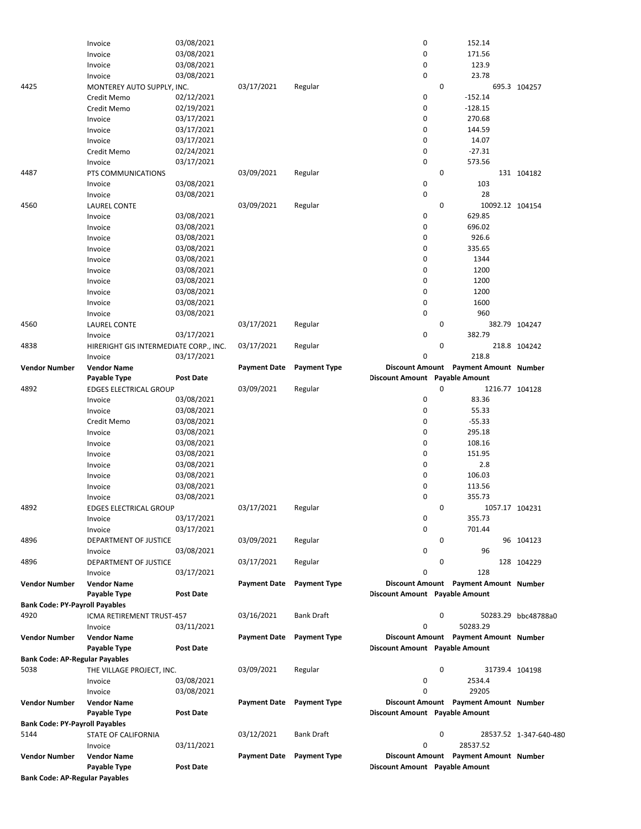|                                       | Invoice                                | 03/08/2021       |                     |                     | 0                              |             | 152.14                                  |                        |
|---------------------------------------|----------------------------------------|------------------|---------------------|---------------------|--------------------------------|-------------|-----------------------------------------|------------------------|
|                                       | Invoice                                | 03/08/2021       |                     |                     | $\mathbf 0$                    |             | 171.56                                  |                        |
|                                       | Invoice                                | 03/08/2021       |                     |                     | 0                              |             | 123.9                                   |                        |
|                                       | Invoice                                | 03/08/2021       |                     |                     | 0                              |             | 23.78                                   |                        |
| 4425                                  | MONTEREY AUTO SUPPLY, INC.             |                  | 03/17/2021          | Regular             |                                | 0           |                                         | 695.3 104257           |
|                                       | Credit Memo                            | 02/12/2021       |                     |                     | 0                              |             | $-152.14$                               |                        |
|                                       | Credit Memo                            | 02/19/2021       |                     |                     | 0                              |             | $-128.15$                               |                        |
|                                       | Invoice                                | 03/17/2021       |                     |                     | 0                              |             | 270.68                                  |                        |
|                                       | Invoice                                | 03/17/2021       |                     |                     | $\mathbf 0$                    |             | 144.59                                  |                        |
|                                       | Invoice                                | 03/17/2021       |                     |                     | 0                              |             | 14.07                                   |                        |
|                                       | Credit Memo                            | 02/24/2021       |                     |                     | $\mathbf 0$                    |             | $-27.31$                                |                        |
|                                       | Invoice                                | 03/17/2021       |                     |                     | $\mathbf 0$                    |             | 573.56                                  |                        |
| 4487                                  | PTS COMMUNICATIONS                     |                  | 03/09/2021          | Regular             |                                | $\mathbf 0$ |                                         | 131 104182             |
|                                       | Invoice                                | 03/08/2021       |                     |                     | 0                              |             | 103                                     |                        |
|                                       | Invoice                                | 03/08/2021       |                     |                     | $\mathbf 0$                    |             | 28                                      |                        |
| 4560                                  | <b>LAUREL CONTE</b>                    |                  | 03/09/2021          | Regular             |                                | 0           | 10092.12 104154                         |                        |
|                                       | Invoice                                | 03/08/2021       |                     |                     | 0                              |             | 629.85                                  |                        |
|                                       |                                        | 03/08/2021       |                     |                     | 0                              |             | 696.02                                  |                        |
|                                       | Invoice                                | 03/08/2021       |                     |                     | 0                              |             | 926.6                                   |                        |
|                                       | Invoice                                |                  |                     |                     |                                |             |                                         |                        |
|                                       | Invoice                                | 03/08/2021       |                     |                     | 0                              |             | 335.65                                  |                        |
|                                       | Invoice                                | 03/08/2021       |                     |                     | 0                              |             | 1344                                    |                        |
|                                       | Invoice                                | 03/08/2021       |                     |                     | 0                              |             | 1200                                    |                        |
|                                       | Invoice                                | 03/08/2021       |                     |                     | 0                              |             | 1200                                    |                        |
|                                       | Invoice                                | 03/08/2021       |                     |                     | 0                              |             | 1200                                    |                        |
|                                       | Invoice                                | 03/08/2021       |                     |                     | $\mathbf 0$                    |             | 1600                                    |                        |
|                                       | Invoice                                | 03/08/2021       |                     |                     | $\mathbf 0$                    |             | 960                                     |                        |
| 4560                                  | <b>LAUREL CONTE</b>                    |                  | 03/17/2021          | Regular             |                                | $\mathbf 0$ |                                         | 382.79 104247          |
|                                       | Invoice                                | 03/17/2021       |                     |                     | $\mathbf 0$                    |             | 382.79                                  |                        |
| 4838                                  | HIRERIGHT GIS INTERMEDIATE CORP., INC. |                  | 03/17/2021          | Regular             |                                | 0           |                                         | 218.8 104242           |
|                                       | Invoice                                | 03/17/2021       |                     |                     | $\mathbf 0$                    |             | 218.8                                   |                        |
| <b>Vendor Number</b>                  | <b>Vendor Name</b>                     |                  | <b>Payment Date</b> | <b>Payment Type</b> |                                |             | Discount Amount Payment Amount Number   |                        |
|                                       | Payable Type                           | <b>Post Date</b> |                     |                     | Discount Amount Payable Amount |             |                                         |                        |
| 4892                                  | <b>EDGES ELECTRICAL GROUP</b>          |                  | 03/09/2021          | Regular             |                                | 0           | 1216.77 104128                          |                        |
|                                       | Invoice                                | 03/08/2021       |                     |                     | 0                              |             | 83.36                                   |                        |
|                                       | Invoice                                | 03/08/2021       |                     |                     | 0                              |             | 55.33                                   |                        |
|                                       | Credit Memo                            | 03/08/2021       |                     |                     | 0                              |             | $-55.33$                                |                        |
|                                       |                                        | 03/08/2021       |                     |                     | 0                              |             | 295.18                                  |                        |
|                                       | Invoice                                |                  |                     |                     | 0                              |             | 108.16                                  |                        |
|                                       | Invoice                                | 03/08/2021       |                     |                     |                                |             |                                         |                        |
|                                       | Invoice                                | 03/08/2021       |                     |                     | 0                              |             | 151.95                                  |                        |
|                                       | Invoice                                | 03/08/2021       |                     |                     | 0                              |             | 2.8                                     |                        |
|                                       | Invoice                                | 03/08/2021       |                     |                     | 0                              |             | 106.03                                  |                        |
|                                       | Invoice                                | 03/08/2021       |                     |                     | $\mathbf 0$                    |             | 113.56                                  |                        |
|                                       | Invoice                                | 03/08/2021       |                     |                     | 0                              |             | 355.73                                  |                        |
| 4892                                  | EDGES ELECTRICAL GROUP                 |                  | 03/17/2021          | Regular             |                                | 0           | 1057.17 104231                          |                        |
|                                       | Invoice                                | 03/17/2021       |                     |                     | 0                              |             | 355.73                                  |                        |
|                                       | Invoice                                | 03/17/2021       |                     |                     | 0                              |             | 701.44                                  |                        |
| 4896                                  | DEPARTMENT OF JUSTICE                  |                  | 03/09/2021          | Regular             |                                | 0           |                                         | 96 104123              |
|                                       | Invoice                                | 03/08/2021       |                     |                     | $\mathbf 0$                    |             | 96                                      |                        |
| 4896                                  | DEPARTMENT OF JUSTICE                  |                  | 03/17/2021          | Regular             |                                | 0           |                                         | 128 104229             |
|                                       | Invoice                                | 03/17/2021       |                     |                     | 0                              |             | 128                                     |                        |
| <b>Vendor Number</b>                  | <b>Vendor Name</b>                     |                  | <b>Payment Date</b> | <b>Payment Type</b> |                                |             | Discount Amount Payment Amount Number   |                        |
|                                       | Payable Type                           | Post Date        |                     |                     | Discount Amount Payable Amount |             |                                         |                        |
| <b>Bank Code: PY-Payroll Payables</b> |                                        |                  |                     |                     |                                |             |                                         |                        |
| 4920                                  | ICMA RETIREMENT TRUST-457              |                  | 03/16/2021          | <b>Bank Draft</b>   |                                | 0           |                                         | 50283.29 bbc48788a0    |
|                                       | Invoice                                | 03/11/2021       |                     |                     | 0                              |             | 50283.29                                |                        |
| <b>Vendor Number</b>                  | <b>Vendor Name</b>                     |                  | <b>Payment Date</b> | <b>Payment Type</b> |                                |             | Discount Amount  Payment Amount  Number |                        |
|                                       | Payable Type                           | <b>Post Date</b> |                     |                     | Discount Amount Payable Amount |             |                                         |                        |
|                                       |                                        |                  |                     |                     |                                |             |                                         |                        |
| <b>Bank Code: AP-Regular Payables</b> |                                        |                  |                     |                     |                                |             |                                         |                        |
| 5038                                  | THE VILLAGE PROJECT, INC.              |                  | 03/09/2021          | Regular             |                                | 0           | 31739.4 104198                          |                        |
|                                       | Invoice                                | 03/08/2021       |                     |                     | 0                              |             | 2534.4                                  |                        |
|                                       | Invoice                                | 03/08/2021       |                     |                     | 0                              |             | 29205                                   |                        |
| <b>Vendor Number</b>                  | <b>Vendor Name</b>                     |                  | <b>Payment Date</b> | <b>Payment Type</b> |                                |             | Discount Amount Payment Amount Number   |                        |
|                                       | Payable Type                           | Post Date        |                     |                     | Discount Amount Payable Amount |             |                                         |                        |
| <b>Bank Code: PY-Payroll Payables</b> |                                        |                  |                     |                     |                                |             |                                         |                        |
| 5144                                  | STATE OF CALIFORNIA                    |                  | 03/12/2021          | <b>Bank Draft</b>   |                                | 0           |                                         | 28537.52 1-347-640-480 |
|                                       | Invoice                                | 03/11/2021       |                     |                     | 0                              |             | 28537.52                                |                        |
| <b>Vendor Number</b>                  | <b>Vendor Name</b>                     |                  | <b>Payment Date</b> | <b>Payment Type</b> |                                |             | Discount Amount Payment Amount Number   |                        |
|                                       | Payable Type                           | <b>Post Date</b> |                     |                     | Discount Amount Payable Amount |             |                                         |                        |
| <b>Bank Code: AP-Regular Payables</b> |                                        |                  |                     |                     |                                |             |                                         |                        |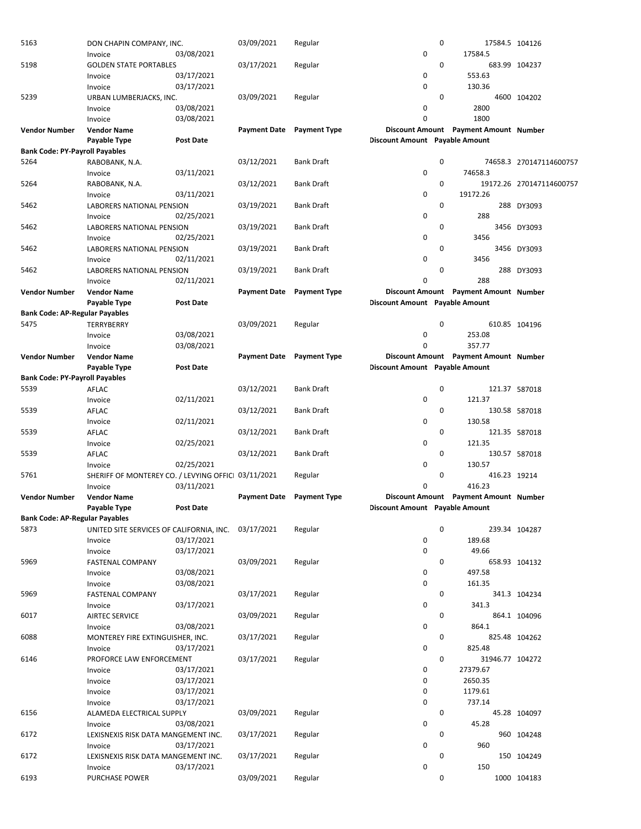| 5163                                  | DON CHAPIN COMPANY, INC.                            |                  | 03/09/2021          | Regular             |                                | 0 | 17584.5 104126                        |                          |
|---------------------------------------|-----------------------------------------------------|------------------|---------------------|---------------------|--------------------------------|---|---------------------------------------|--------------------------|
|                                       | Invoice                                             | 03/08/2021       |                     |                     | 0                              |   | 17584.5                               |                          |
| 5198                                  | <b>GOLDEN STATE PORTABLES</b>                       |                  | 03/17/2021          | Regular             |                                | 0 |                                       | 683.99 104237            |
|                                       | Invoice                                             | 03/17/2021       |                     |                     | 0                              |   | 553.63                                |                          |
|                                       | Invoice                                             | 03/17/2021       |                     |                     | 0                              |   | 130.36                                |                          |
| 5239                                  | URBAN LUMBERJACKS, INC.                             |                  | 03/09/2021          | Regular             |                                | 0 |                                       | 4600 104202              |
|                                       |                                                     | 03/08/2021       |                     |                     | 0                              |   | 2800                                  |                          |
|                                       | Invoice                                             |                  |                     |                     |                                |   |                                       |                          |
|                                       | Invoice                                             | 03/08/2021       |                     |                     | 0                              |   | 1800                                  |                          |
| <b>Vendor Number</b>                  | <b>Vendor Name</b>                                  |                  | <b>Payment Date</b> | <b>Payment Type</b> |                                |   | Discount Amount Payment Amount Number |                          |
|                                       | Payable Type                                        | <b>Post Date</b> |                     |                     | Discount Amount Payable Amount |   |                                       |                          |
| <b>Bank Code: PY-Payroll Payables</b> |                                                     |                  |                     |                     |                                |   |                                       |                          |
| 5264                                  | RABOBANK, N.A.                                      |                  | 03/12/2021          | <b>Bank Draft</b>   |                                | 0 |                                       | 74658.3 270147114600757  |
|                                       | Invoice                                             | 03/11/2021       |                     |                     | 0                              |   | 74658.3                               |                          |
| 5264                                  | RABOBANK, N.A.                                      |                  | 03/12/2021          | <b>Bank Draft</b>   |                                | 0 |                                       | 19172.26 270147114600757 |
|                                       | Invoice                                             | 03/11/2021       |                     |                     | 0                              |   | 19172.26                              |                          |
| 5462                                  | LABORERS NATIONAL PENSION                           |                  | 03/19/2021          | <b>Bank Draft</b>   |                                | 0 |                                       | 288 DY3093               |
|                                       | Invoice                                             | 02/25/2021       |                     |                     | 0                              |   | 288                                   |                          |
|                                       |                                                     |                  |                     |                     |                                |   |                                       |                          |
| 5462                                  | LABORERS NATIONAL PENSION                           |                  | 03/19/2021          | <b>Bank Draft</b>   |                                | 0 |                                       | 3456 DY3093              |
|                                       | Invoice                                             | 02/25/2021       |                     |                     | 0                              |   | 3456                                  |                          |
| 5462                                  | LABORERS NATIONAL PENSION                           |                  | 03/19/2021          | <b>Bank Draft</b>   |                                | 0 |                                       | 3456 DY3093              |
|                                       | Invoice                                             | 02/11/2021       |                     |                     | 0                              |   | 3456                                  |                          |
| 5462                                  | <b>LABORERS NATIONAL PENSION</b>                    |                  | 03/19/2021          | <b>Bank Draft</b>   |                                | 0 |                                       | 288 DY3093               |
|                                       | Invoice                                             | 02/11/2021       |                     |                     | 0                              |   | 288                                   |                          |
| <b>Vendor Number</b>                  | <b>Vendor Name</b>                                  |                  | <b>Payment Date</b> | <b>Payment Type</b> |                                |   | Discount Amount Payment Amount Number |                          |
|                                       | Payable Type                                        | <b>Post Date</b> |                     |                     | Discount Amount Payable Amount |   |                                       |                          |
| <b>Bank Code: AP-Regular Payables</b> |                                                     |                  |                     |                     |                                |   |                                       |                          |
| 5475                                  | TERRYBERRY                                          |                  | 03/09/2021          | Regular             |                                | 0 | 610.85 104196                         |                          |
|                                       |                                                     | 03/08/2021       |                     |                     | 0                              |   | 253.08                                |                          |
|                                       | Invoice                                             |                  |                     |                     |                                |   |                                       |                          |
|                                       | Invoice                                             | 03/08/2021       |                     |                     | 0                              |   | 357.77                                |                          |
| <b>Vendor Number</b>                  | <b>Vendor Name</b>                                  |                  | <b>Payment Date</b> | <b>Payment Type</b> |                                |   | Discount Amount Payment Amount Number |                          |
|                                       | Payable Type                                        | Post Date        |                     |                     | Discount Amount Payable Amount |   |                                       |                          |
| <b>Bank Code: PY-Payroll Payables</b> |                                                     |                  |                     |                     |                                |   |                                       |                          |
| 5539                                  | AFLAC                                               |                  | 03/12/2021          | <b>Bank Draft</b>   |                                | 0 |                                       | 121.37 587018            |
|                                       | Invoice                                             | 02/11/2021       |                     |                     | 0                              |   | 121.37                                |                          |
| 5539                                  | AFLAC                                               |                  | 03/12/2021          | <b>Bank Draft</b>   |                                | 0 |                                       | 130.58 587018            |
|                                       | Invoice                                             | 02/11/2021       |                     |                     | 0                              |   | 130.58                                |                          |
| 5539                                  | AFLAC                                               |                  | 03/12/2021          | <b>Bank Draft</b>   |                                | 0 |                                       | 121.35 587018            |
|                                       | Invoice                                             | 02/25/2021       |                     |                     | 0                              |   | 121.35                                |                          |
|                                       |                                                     |                  |                     |                     |                                |   |                                       |                          |
| 5539                                  | AFLAC                                               |                  | 03/12/2021          | <b>Bank Draft</b>   |                                | 0 |                                       | 130.57 587018            |
|                                       | Invoice                                             | 02/25/2021       |                     |                     | 0                              |   | 130.57                                |                          |
| 5761                                  | SHERIFF OF MONTEREY CO. / LEVYING OFFICI 03/11/2021 |                  |                     | Regular             |                                | 0 | 416.23 19214                          |                          |
|                                       | Invoice                                             | 03/11/2021       |                     |                     | 0                              |   | 416.23                                |                          |
| Vendor Number                         | <b>Vendor Name</b>                                  |                  | <b>Payment Date</b> | <b>Payment Type</b> |                                |   | Discount Amount Payment Amount Number |                          |
|                                       | Payable Type                                        | <b>Post Date</b> |                     |                     | Discount Amount Payable Amount |   |                                       |                          |
| <b>Bank Code: AP-Regular Payables</b> |                                                     |                  |                     |                     |                                |   |                                       |                          |
| 5873                                  | UNITED SITE SERVICES OF CALIFORNIA, INC. 03/17/2021 |                  |                     | Regular             |                                | 0 | 239.34 104287                         |                          |
|                                       | Invoice                                             | 03/17/2021       |                     |                     | 0                              |   | 189.68                                |                          |
|                                       | Invoice                                             | 03/17/2021       |                     |                     | 0                              |   | 49.66                                 |                          |
| 5969                                  | <b>FASTENAL COMPANY</b>                             |                  | 03/09/2021          | Regular             |                                | 0 |                                       | 658.93 104132            |
|                                       |                                                     | 03/08/2021       |                     |                     | 0                              |   | 497.58                                |                          |
|                                       | Invoice                                             |                  |                     |                     |                                |   |                                       |                          |
|                                       | Invoice                                             | 03/08/2021       |                     |                     | 0                              |   | 161.35                                |                          |
| 5969                                  | <b>FASTENAL COMPANY</b>                             |                  | 03/17/2021          | Regular             |                                | 0 |                                       | 341.3 104234             |
|                                       | Invoice                                             | 03/17/2021       |                     |                     | 0                              |   | 341.3                                 |                          |
| 6017                                  | <b>AIRTEC SERVICE</b>                               |                  | 03/09/2021          | Regular             |                                | 0 |                                       | 864.1 104096             |
|                                       | Invoice                                             | 03/08/2021       |                     |                     | 0                              |   | 864.1                                 |                          |
| 6088                                  | MONTEREY FIRE EXTINGUISHER, INC.                    |                  | 03/17/2021          | Regular             |                                | 0 | 825.48 104262                         |                          |
|                                       | Invoice                                             | 03/17/2021       |                     |                     | 0                              |   | 825.48                                |                          |
| 6146                                  | PROFORCE LAW ENFORCEMENT                            |                  | 03/17/2021          | Regular             |                                | 0 | 31946.77 104272                       |                          |
|                                       | Invoice                                             | 03/17/2021       |                     |                     | 0                              |   | 27379.67                              |                          |
|                                       | Invoice                                             | 03/17/2021       |                     |                     | 0                              |   | 2650.35                               |                          |
|                                       |                                                     |                  |                     |                     | 0                              |   | 1179.61                               |                          |
|                                       | Invoice                                             | 03/17/2021       |                     |                     |                                |   |                                       |                          |
|                                       | Invoice                                             | 03/17/2021       |                     |                     | 0                              |   | 737.14                                |                          |
| 6156                                  | ALAMEDA ELECTRICAL SUPPLY                           |                  | 03/09/2021          | Regular             |                                | 0 |                                       | 45.28 104097             |
|                                       | Invoice                                             | 03/08/2021       |                     |                     | 0                              |   | 45.28                                 |                          |
| 6172                                  | LEXISNEXIS RISK DATA MANGEMENT INC.                 |                  | 03/17/2021          | Regular             |                                | 0 |                                       | 960 104248               |
|                                       | Invoice                                             | 03/17/2021       |                     |                     | 0                              |   | 960                                   |                          |
| 6172                                  | LEXISNEXIS RISK DATA MANGEMENT INC.                 |                  | 03/17/2021          | Regular             |                                | 0 |                                       | 150 104249               |
|                                       | Invoice                                             | 03/17/2021       |                     |                     | 0                              |   | 150                                   |                          |
| 6193                                  | PURCHASE POWER                                      |                  | 03/09/2021          | Regular             |                                | 0 |                                       | 1000 104183              |
|                                       |                                                     |                  |                     |                     |                                |   |                                       |                          |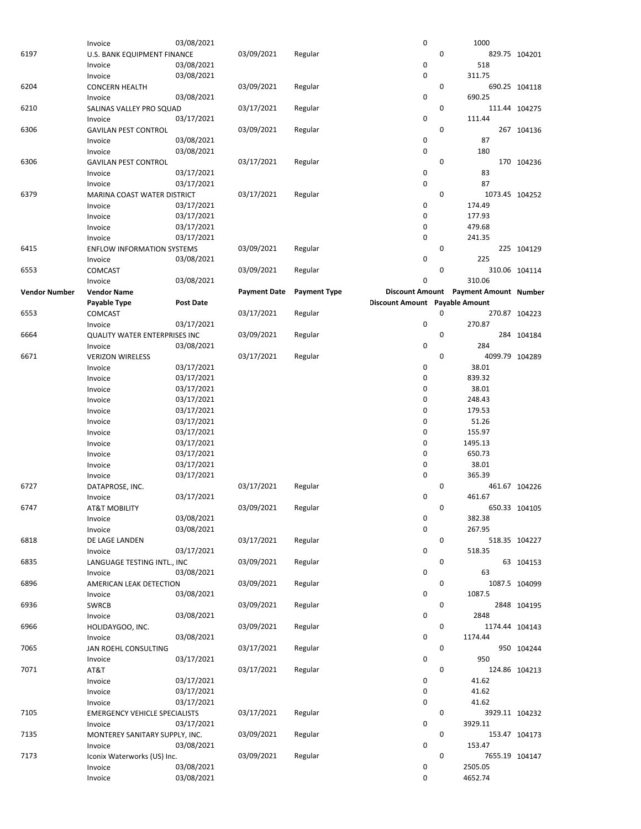|                      | Invoice                              | 03/08/2021       |                     |                     | 0                                     | 1000    |     |                |
|----------------------|--------------------------------------|------------------|---------------------|---------------------|---------------------------------------|---------|-----|----------------|
| 6197                 | U.S. BANK EQUIPMENT FINANCE          |                  | 03/09/2021          | Regular             |                                       | 0       |     | 829.75 104201  |
|                      |                                      | 03/08/2021       |                     |                     | $\pmb{0}$                             |         | 518 |                |
|                      | Invoice                              |                  |                     |                     |                                       |         |     |                |
|                      | Invoice                              | 03/08/2021       |                     |                     | 0                                     | 311.75  |     |                |
| 6204                 | <b>CONCERN HEALTH</b>                |                  | 03/09/2021          | Regular             |                                       | 0       |     | 690.25 104118  |
|                      | Invoice                              | 03/08/2021       |                     |                     | 0                                     | 690.25  |     |                |
| 6210                 | SALINAS VALLEY PRO SQUAD             |                  | 03/17/2021          | Regular             |                                       | 0       |     | 111.44 104275  |
|                      |                                      |                  |                     |                     | 0                                     | 111.44  |     |                |
|                      | Invoice                              | 03/17/2021       |                     |                     |                                       |         |     |                |
| 6306                 | <b>GAVILAN PEST CONTROL</b>          |                  | 03/09/2021          | Regular             |                                       | 0       |     | 267 104136     |
|                      | Invoice                              | 03/08/2021       |                     |                     | 0                                     |         | 87  |                |
|                      | Invoice                              | 03/08/2021       |                     |                     | $\mathbf 0$                           |         | 180 |                |
| 6306                 | <b>GAVILAN PEST CONTROL</b>          |                  | 03/17/2021          | Regular             |                                       | 0       |     | 170 104236     |
|                      |                                      |                  |                     |                     |                                       |         |     |                |
|                      | Invoice                              | 03/17/2021       |                     |                     | 0                                     |         | 83  |                |
|                      | Invoice                              | 03/17/2021       |                     |                     | $\mathbf 0$                           |         | 87  |                |
| 6379                 | MARINA COAST WATER DISTRICT          |                  | 03/17/2021          | Regular             |                                       | 0       |     | 1073.45 104252 |
|                      | Invoice                              | 03/17/2021       |                     |                     | $\mathbf 0$                           | 174.49  |     |                |
|                      |                                      |                  |                     |                     | $\pmb{0}$                             |         |     |                |
|                      | Invoice                              | 03/17/2021       |                     |                     |                                       | 177.93  |     |                |
|                      | Invoice                              | 03/17/2021       |                     |                     | 0                                     | 479.68  |     |                |
|                      | Invoice                              | 03/17/2021       |                     |                     | $\pmb{0}$                             | 241.35  |     |                |
| 6415                 | <b>ENFLOW INFORMATION SYSTEMS</b>    |                  | 03/09/2021          | Regular             |                                       | 0       |     | 225 104129     |
|                      | Invoice                              | 03/08/2021       |                     |                     | 0                                     |         | 225 |                |
|                      |                                      |                  |                     |                     |                                       |         |     |                |
| 6553                 | COMCAST                              |                  | 03/09/2021          | Regular             |                                       | 0       |     | 310.06 104114  |
|                      | Invoice                              | 03/08/2021       |                     |                     | 0                                     | 310.06  |     |                |
| <b>Vendor Number</b> | <b>Vendor Name</b>                   |                  | <b>Payment Date</b> | <b>Payment Type</b> | Discount Amount Payment Amount Number |         |     |                |
|                      | Payable Type                         | <b>Post Date</b> |                     |                     | Discount Amount Payable Amount        |         |     |                |
|                      |                                      |                  |                     |                     |                                       |         |     |                |
| 6553                 | <b>COMCAST</b>                       |                  | 03/17/2021          | Regular             |                                       | 0       |     | 270.87 104223  |
|                      | Invoice                              | 03/17/2021       |                     |                     | 0                                     | 270.87  |     |                |
| 6664                 | <b>QUALITY WATER ENTERPRISES INC</b> |                  | 03/09/2021          | Regular             |                                       | 0       |     | 284 104184     |
|                      | Invoice                              | 03/08/2021       |                     |                     | 0                                     |         | 284 |                |
|                      |                                      |                  |                     |                     |                                       | 0       |     | 4099.79 104289 |
| 6671                 | <b>VERIZON WIRELESS</b>              |                  | 03/17/2021          | Regular             |                                       |         |     |                |
|                      | Invoice                              | 03/17/2021       |                     |                     | 0                                     | 38.01   |     |                |
|                      | Invoice                              | 03/17/2021       |                     |                     | 0                                     | 839.32  |     |                |
|                      | Invoice                              | 03/17/2021       |                     |                     | 0                                     | 38.01   |     |                |
|                      | Invoice                              | 03/17/2021       |                     |                     | 0                                     | 248.43  |     |                |
|                      |                                      |                  |                     |                     |                                       |         |     |                |
|                      | Invoice                              | 03/17/2021       |                     |                     | $\pmb{0}$                             | 179.53  |     |                |
|                      | Invoice                              | 03/17/2021       |                     |                     | 0                                     | 51.26   |     |                |
|                      | Invoice                              | 03/17/2021       |                     |                     | 0                                     | 155.97  |     |                |
|                      |                                      | 03/17/2021       |                     |                     | 0                                     | 1495.13 |     |                |
|                      | Invoice                              |                  |                     |                     |                                       |         |     |                |
|                      | Invoice                              | 03/17/2021       |                     |                     | 0                                     | 650.73  |     |                |
|                      | Invoice                              | 03/17/2021       |                     |                     | 0                                     | 38.01   |     |                |
|                      | Invoice                              | 03/17/2021       |                     |                     | $\mathbf 0$                           | 365.39  |     |                |
| 6727                 | DATAPROSE, INC.                      |                  | 03/17/2021          | Regular             |                                       | 0       |     | 461.67 104226  |
|                      |                                      |                  |                     |                     |                                       |         |     |                |
|                      | Invoice                              | 03/17/2021       |                     |                     | $\mathbf 0$                           | 461.67  |     |                |
| 6747                 | <b>AT&amp;T MOBILITY</b>             |                  | 03/09/2021          | Regular             |                                       | 0       |     | 650.33 104105  |
|                      | Invoice                              | 03/08/2021       |                     |                     | $\pmb{0}$                             | 382.38  |     |                |
|                      | Invoice                              | 03/08/2021       |                     |                     | 0                                     | 267.95  |     |                |
| 6818                 |                                      |                  | 03/17/2021          |                     |                                       | 0       |     |                |
|                      | DE LAGE LANDEN                       |                  |                     | Regular             |                                       |         |     | 518.35 104227  |
|                      | Invoice                              | 03/17/2021       |                     |                     | 0                                     | 518.35  |     |                |
| 6835                 | LANGUAGE TESTING INTL., INC          |                  | 03/09/2021          | Regular             |                                       | 0       |     | 63 104153      |
|                      | Invoice                              | 03/08/2021       |                     |                     | 0                                     |         | 63  |                |
| 6896                 | AMERICAN LEAK DETECTION              |                  | 03/09/2021          | Regular             |                                       | 0       |     | 1087.5 104099  |
|                      |                                      |                  |                     |                     |                                       |         |     |                |
|                      | Invoice                              | 03/08/2021       |                     |                     | 0                                     | 1087.5  |     |                |
| 6936                 | <b>SWRCB</b>                         |                  | 03/09/2021          | Regular             |                                       | 0       |     | 2848 104195    |
|                      | Invoice                              | 03/08/2021       |                     |                     | 0                                     | 2848    |     |                |
| 6966                 | HOLIDAYGOO, INC.                     |                  | 03/09/2021          | Regular             |                                       | 0       |     | 1174.44 104143 |
|                      |                                      |                  |                     |                     |                                       |         |     |                |
|                      | Invoice                              | 03/08/2021       |                     |                     | 0                                     | 1174.44 |     |                |
| 7065                 | JAN ROEHL CONSULTING                 |                  | 03/17/2021          | Regular             |                                       | 0       |     | 950 104244     |
|                      | Invoice                              | 03/17/2021       |                     |                     | 0                                     |         | 950 |                |
| 7071                 | AT&T                                 |                  | 03/17/2021          | Regular             |                                       | 0       |     | 124.86 104213  |
|                      |                                      |                  |                     |                     | 0                                     | 41.62   |     |                |
|                      | Invoice                              | 03/17/2021       |                     |                     |                                       |         |     |                |
|                      | Invoice                              | 03/17/2021       |                     |                     | 0                                     | 41.62   |     |                |
|                      | Invoice                              | 03/17/2021       |                     |                     | 0                                     | 41.62   |     |                |
| 7105                 | <b>EMERGENCY VEHICLE SPECIALISTS</b> |                  | 03/17/2021          | Regular             |                                       | 0       |     | 3929.11 104232 |
|                      |                                      | 03/17/2021       |                     |                     | 0                                     | 3929.11 |     |                |
|                      | Invoice                              |                  |                     |                     |                                       |         |     |                |
| 7135                 | MONTEREY SANITARY SUPPLY, INC.       |                  | 03/09/2021          | Regular             |                                       | 0       |     | 153.47 104173  |
|                      | Invoice                              | 03/08/2021       |                     |                     | 0                                     | 153.47  |     |                |
| 7173                 | Iconix Waterworks (US) Inc.          |                  | 03/09/2021          | Regular             |                                       | 0       |     | 7655.19 104147 |
|                      | Invoice                              | 03/08/2021       |                     |                     | 0                                     | 2505.05 |     |                |
|                      |                                      |                  |                     |                     |                                       |         |     |                |
|                      | Invoice                              | 03/08/2021       |                     |                     | 0                                     | 4652.74 |     |                |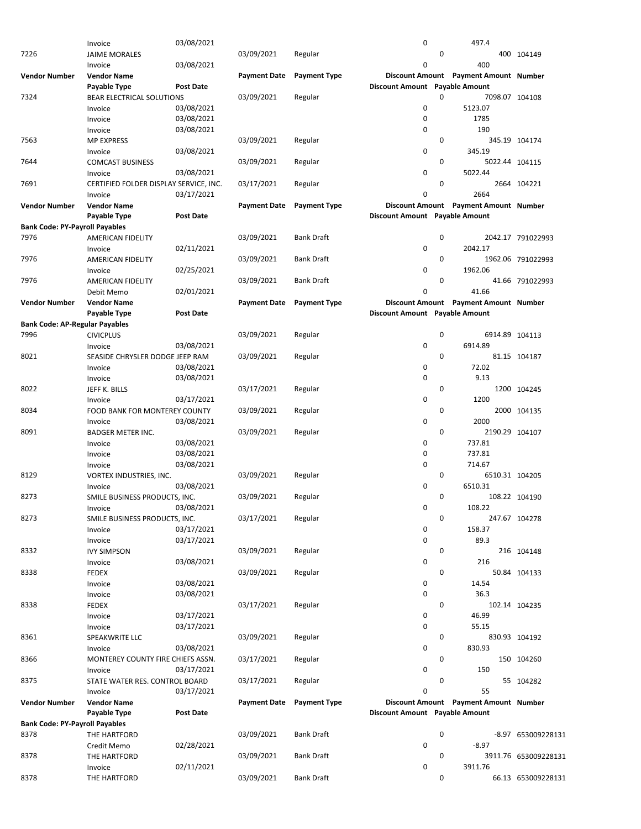|                                       | Invoice                                | 03/08/2021       |                     |                     | 0                              |             | 497.4                                 |                      |
|---------------------------------------|----------------------------------------|------------------|---------------------|---------------------|--------------------------------|-------------|---------------------------------------|----------------------|
| 7226                                  | <b>JAIME MORALES</b>                   |                  | 03/09/2021          | Regular             |                                | 0           |                                       | 400 104149           |
|                                       | Invoice                                | 03/08/2021       |                     |                     | 0                              |             | 400                                   |                      |
|                                       |                                        |                  |                     |                     |                                |             |                                       |                      |
| <b>Vendor Number</b>                  | <b>Vendor Name</b>                     |                  | <b>Payment Date</b> | <b>Payment Type</b> |                                |             | Discount Amount Payment Amount Number |                      |
|                                       | Payable Type                           | <b>Post Date</b> |                     |                     | Discount Amount Payable Amount |             |                                       |                      |
| 7324                                  | <b>BEAR ELECTRICAL SOLUTIONS</b>       |                  | 03/09/2021          | Regular             |                                | 0           | 7098.07 104108                        |                      |
|                                       | Invoice                                | 03/08/2021       |                     |                     | 0                              |             | 5123.07                               |                      |
|                                       |                                        |                  |                     |                     | 0                              |             | 1785                                  |                      |
|                                       | Invoice                                | 03/08/2021       |                     |                     |                                |             |                                       |                      |
|                                       | Invoice                                | 03/08/2021       |                     |                     | 0                              |             | 190                                   |                      |
| 7563                                  | <b>MP EXPRESS</b>                      |                  | 03/09/2021          | Regular             |                                | 0           |                                       | 345.19 104174        |
|                                       | Invoice                                | 03/08/2021       |                     |                     | 0                              |             | 345.19                                |                      |
|                                       |                                        |                  |                     |                     |                                | 0           |                                       |                      |
| 7644                                  | <b>COMCAST BUSINESS</b>                |                  | 03/09/2021          | Regular             |                                |             | 5022.44 104115                        |                      |
|                                       | Invoice                                | 03/08/2021       |                     |                     | 0                              |             | 5022.44                               |                      |
| 7691                                  | CERTIFIED FOLDER DISPLAY SERVICE, INC. |                  | 03/17/2021          | Regular             |                                | 0           |                                       | 2664 104221          |
|                                       | Invoice                                | 03/17/2021       |                     |                     | 0                              |             | 2664                                  |                      |
| <b>Vendor Number</b>                  | <b>Vendor Name</b>                     |                  | <b>Payment Date</b> | <b>Payment Type</b> |                                |             | Discount Amount Payment Amount Number |                      |
|                                       |                                        |                  |                     |                     |                                |             |                                       |                      |
|                                       | Payable Type                           | <b>Post Date</b> |                     |                     | Discount Amount Payable Amount |             |                                       |                      |
| <b>Bank Code: PY-Payroll Payables</b> |                                        |                  |                     |                     |                                |             |                                       |                      |
| 7976                                  | <b>AMERICAN FIDELITY</b>               |                  | 03/09/2021          | <b>Bank Draft</b>   |                                | $\mathbf 0$ |                                       | 2042.17 791022993    |
|                                       | Invoice                                | 02/11/2021       |                     |                     | 0                              |             | 2042.17                               |                      |
|                                       |                                        |                  |                     |                     |                                |             |                                       |                      |
| 7976                                  | <b>AMERICAN FIDELITY</b>               |                  | 03/09/2021          | <b>Bank Draft</b>   |                                | 0           |                                       | 1962.06 791022993    |
|                                       | Invoice                                | 02/25/2021       |                     |                     | 0                              |             | 1962.06                               |                      |
| 7976                                  | AMERICAN FIDELITY                      |                  | 03/09/2021          | <b>Bank Draft</b>   |                                | 0           |                                       | 41.66 791022993      |
|                                       | Debit Memo                             | 02/01/2021       |                     |                     | 0                              |             | 41.66                                 |                      |
|                                       |                                        |                  |                     |                     |                                |             |                                       |                      |
| <b>Vendor Number</b>                  | <b>Vendor Name</b>                     |                  | <b>Payment Date</b> | <b>Payment Type</b> |                                |             | Discount Amount Payment Amount Number |                      |
|                                       | Payable Type                           | <b>Post Date</b> |                     |                     | Discount Amount Payable Amount |             |                                       |                      |
| <b>Bank Code: AP-Regular Payables</b> |                                        |                  |                     |                     |                                |             |                                       |                      |
| 7996                                  | <b>CIVICPLUS</b>                       |                  | 03/09/2021          | Regular             |                                | 0           | 6914.89 104113                        |                      |
|                                       |                                        |                  |                     |                     |                                |             | 6914.89                               |                      |
|                                       | Invoice                                | 03/08/2021       |                     |                     | 0                              |             |                                       |                      |
| 8021                                  | SEASIDE CHRYSLER DODGE JEEP RAM        |                  | 03/09/2021          | Regular             |                                | 0           |                                       | 81.15 104187         |
|                                       | Invoice                                | 03/08/2021       |                     |                     | 0                              |             | 72.02                                 |                      |
|                                       | Invoice                                | 03/08/2021       |                     |                     | $\pmb{0}$                      |             | 9.13                                  |                      |
|                                       |                                        |                  |                     |                     |                                | 0           |                                       |                      |
| 8022                                  | JEFF K. BILLS                          |                  | 03/17/2021          | Regular             |                                |             |                                       | 1200 104245          |
|                                       | Invoice                                | 03/17/2021       |                     |                     | 0                              |             | 1200                                  |                      |
| 8034                                  | FOOD BANK FOR MONTEREY COUNTY          |                  | 03/09/2021          | Regular             |                                | 0           |                                       | 2000 104135          |
|                                       | Invoice                                | 03/08/2021       |                     |                     | $\pmb{0}$                      |             | 2000                                  |                      |
|                                       |                                        |                  |                     |                     |                                | $\mathbf 0$ |                                       |                      |
| 8091                                  | <b>BADGER METER INC.</b>               |                  | 03/09/2021          | Regular             |                                |             | 2190.29 104107                        |                      |
|                                       | Invoice                                | 03/08/2021       |                     |                     | 0                              |             | 737.81                                |                      |
|                                       | Invoice                                | 03/08/2021       |                     |                     | 0                              |             | 737.81                                |                      |
|                                       | Invoice                                | 03/08/2021       |                     |                     | 0                              |             | 714.67                                |                      |
|                                       |                                        |                  |                     |                     |                                |             |                                       |                      |
| 8129                                  | VORTEX INDUSTRIES, INC.                |                  | 03/09/2021          | Regular             |                                | 0           | 6510.31 104205                        |                      |
|                                       | Invoice                                | 03/08/2021       |                     |                     | 0                              |             | 6510.31                               |                      |
| 8273                                  | SMILE BUSINESS PRODUCTS, INC.          |                  | 03/09/2021          | Regular             |                                | 0           |                                       | 108.22 104190        |
|                                       | Invoice                                | 03/08/2021       |                     |                     | 0                              |             | 108.22                                |                      |
|                                       |                                        |                  |                     |                     |                                | $\pmb{0}$   |                                       |                      |
| 8273                                  | SMILE BUSINESS PRODUCTS, INC.          |                  | 03/17/2021          | Regular             |                                |             |                                       | 247.67 104278        |
|                                       | Invoice                                | 03/17/2021       |                     |                     | 0                              |             | 158.37                                |                      |
|                                       | Invoice                                | 03/17/2021       |                     |                     | 0                              |             | 89.3                                  |                      |
| 8332                                  | <b>IVY SIMPSON</b>                     |                  | 03/09/2021          | Regular             |                                | 0           |                                       | 216 104148           |
|                                       |                                        | 03/08/2021       |                     |                     | 0                              |             | 216                                   |                      |
|                                       | Invoice                                |                  |                     |                     |                                |             |                                       |                      |
| 8338                                  | <b>FEDEX</b>                           |                  | 03/09/2021          | Regular             |                                | 0           |                                       | 50.84 104133         |
|                                       | Invoice                                | 03/08/2021       |                     |                     | 0                              |             | 14.54                                 |                      |
|                                       | Invoice                                | 03/08/2021       |                     |                     | 0                              |             | 36.3                                  |                      |
| 8338                                  | FEDEX                                  |                  | 03/17/2021          | Regular             |                                | 0           |                                       | 102.14 104235        |
|                                       |                                        |                  |                     |                     |                                |             |                                       |                      |
|                                       | Invoice                                | 03/17/2021       |                     |                     | 0                              |             | 46.99                                 |                      |
|                                       | Invoice                                | 03/17/2021       |                     |                     | 0                              |             | 55.15                                 |                      |
| 8361                                  | SPEAKWRITE LLC                         |                  | 03/09/2021          | Regular             |                                | 0           |                                       | 830.93 104192        |
|                                       | Invoice                                | 03/08/2021       |                     |                     | 0                              |             | 830.93                                |                      |
|                                       |                                        |                  |                     |                     |                                |             |                                       |                      |
| 8366                                  | MONTEREY COUNTY FIRE CHIEFS ASSN.      |                  | 03/17/2021          | Regular             |                                | 0           |                                       | 150 104260           |
|                                       | Invoice                                | 03/17/2021       |                     |                     | 0                              |             | 150                                   |                      |
| 8375                                  | STATE WATER RES. CONTROL BOARD         |                  | 03/17/2021          | Regular             |                                | 0           |                                       | 55 104282            |
|                                       | Invoice                                | 03/17/2021       |                     |                     | 0                              |             | 55                                    |                      |
|                                       |                                        |                  |                     |                     |                                |             |                                       |                      |
| <b>Vendor Number</b>                  | <b>Vendor Name</b>                     |                  | <b>Payment Date</b> | <b>Payment Type</b> |                                |             | Discount Amount Payment Amount Number |                      |
|                                       | Payable Type                           | Post Date        |                     |                     | Discount Amount Payable Amount |             |                                       |                      |
| <b>Bank Code: PY-Payroll Payables</b> |                                        |                  |                     |                     |                                |             |                                       |                      |
| 8378                                  | THE HARTFORD                           |                  | 03/09/2021          | <b>Bank Draft</b>   |                                | 0           |                                       | -8.97 653009228131   |
|                                       |                                        |                  |                     |                     |                                |             | $-8.97$                               |                      |
|                                       | Credit Memo                            | 02/28/2021       |                     |                     | 0                              |             |                                       |                      |
| 8378                                  | THE HARTFORD                           |                  | 03/09/2021          | Bank Draft          |                                | 0           |                                       | 3911.76 653009228131 |
|                                       | Invoice                                | 02/11/2021       |                     |                     | 0                              |             | 3911.76                               |                      |
| 8378                                  | THE HARTFORD                           |                  | 03/09/2021          | Bank Draft          |                                | 0           |                                       | 66.13 653009228131   |
|                                       |                                        |                  |                     |                     |                                |             |                                       |                      |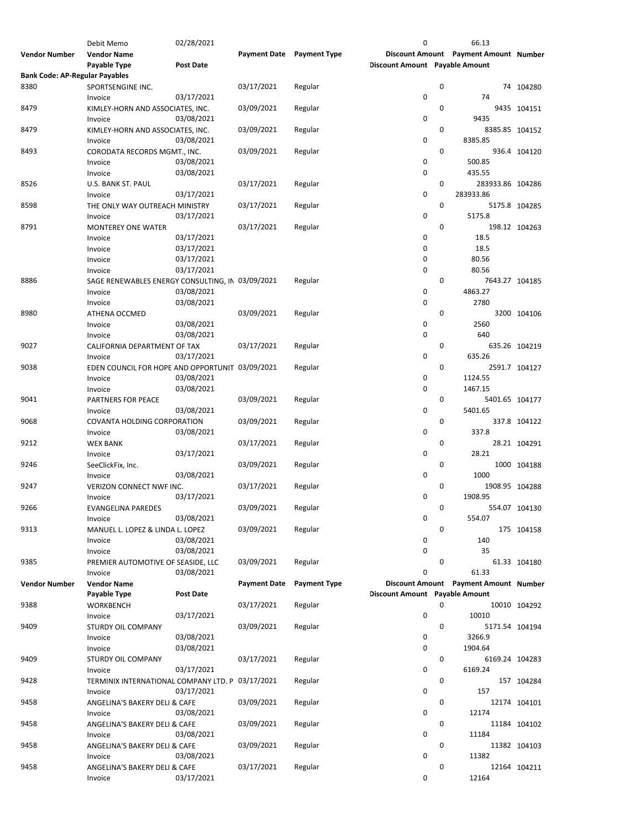|                                       | Debit Memo                                       | 02/28/2021       |                           |                     | 0                              |   | 66.13                                 |               |
|---------------------------------------|--------------------------------------------------|------------------|---------------------------|---------------------|--------------------------------|---|---------------------------------------|---------------|
| <b>Vendor Number</b>                  | <b>Vendor Name</b>                               |                  | Payment Date Payment Type |                     |                                |   | Discount Amount Payment Amount Number |               |
|                                       | Payable Type                                     | <b>Post Date</b> |                           |                     | Discount Amount Payable Amount |   |                                       |               |
| <b>Bank Code: AP-Regular Payables</b> |                                                  |                  |                           |                     |                                |   |                                       |               |
| 8380                                  | SPORTSENGINE INC.                                |                  | 03/17/2021                | Regular             |                                | 0 |                                       | 74 104280     |
|                                       |                                                  | 03/17/2021       |                           |                     | 0                              |   | 74                                    |               |
|                                       | Invoice                                          |                  |                           |                     |                                |   |                                       |               |
| 8479                                  | KIMLEY-HORN AND ASSOCIATES, INC.                 |                  | 03/09/2021                | Regular             |                                | 0 |                                       | 9435 104151   |
|                                       | Invoice                                          | 03/08/2021       |                           |                     | 0                              |   | 9435                                  |               |
| 8479                                  | KIMLEY-HORN AND ASSOCIATES, INC.                 |                  | 03/09/2021                | Regular             |                                | 0 | 8385.85 104152                        |               |
|                                       | Invoice                                          | 03/08/2021       |                           |                     | 0                              |   | 8385.85                               |               |
| 8493                                  | CORODATA RECORDS MGMT., INC.                     |                  | 03/09/2021                | Regular             |                                | 0 |                                       | 936.4 104120  |
|                                       | Invoice                                          | 03/08/2021       |                           |                     | 0                              |   | 500.85                                |               |
|                                       | Invoice                                          | 03/08/2021       |                           |                     | 0                              |   | 435.55                                |               |
|                                       |                                                  |                  |                           |                     |                                | 0 |                                       |               |
| 8526                                  | U.S. BANK ST. PAUL                               |                  | 03/17/2021                | Regular             |                                |   | 283933.86 104286                      |               |
|                                       | Invoice                                          | 03/17/2021       |                           |                     | 0                              |   | 283933.86                             |               |
| 8598                                  | THE ONLY WAY OUTREACH MINISTRY                   |                  | 03/17/2021                | Regular             |                                | 0 |                                       | 5175.8 104285 |
|                                       | Invoice                                          | 03/17/2021       |                           |                     | 0                              |   | 5175.8                                |               |
| 8791                                  | <b>MONTEREY ONE WATER</b>                        |                  | 03/17/2021                | Regular             |                                | 0 |                                       | 198.12 104263 |
|                                       | Invoice                                          | 03/17/2021       |                           |                     | 0                              |   | 18.5                                  |               |
|                                       | Invoice                                          | 03/17/2021       |                           |                     | 0                              |   | 18.5                                  |               |
|                                       | Invoice                                          | 03/17/2021       |                           |                     | 0                              |   | 80.56                                 |               |
|                                       |                                                  |                  |                           |                     |                                |   |                                       |               |
|                                       | Invoice                                          | 03/17/2021       |                           |                     | 0                              |   | 80.56                                 |               |
| 8886                                  | SAGE RENEWABLES ENERGY CONSULTING, IN 03/09/2021 |                  |                           | Regular             |                                | 0 | 7643.27 104185                        |               |
|                                       | Invoice                                          | 03/08/2021       |                           |                     | 0                              |   | 4863.27                               |               |
|                                       | Invoice                                          | 03/08/2021       |                           |                     | 0                              |   | 2780                                  |               |
| 8980                                  | ATHENA OCCMED                                    |                  | 03/09/2021                | Regular             |                                | 0 |                                       | 3200 104106   |
|                                       | Invoice                                          | 03/08/2021       |                           |                     | 0                              |   | 2560                                  |               |
|                                       | Invoice                                          | 03/08/2021       |                           |                     | 0                              |   | 640                                   |               |
| 9027                                  |                                                  |                  | 03/17/2021                |                     |                                | 0 |                                       |               |
|                                       | CALIFORNIA DEPARTMENT OF TAX                     |                  |                           | Regular             |                                |   |                                       | 635.26 104219 |
|                                       | Invoice                                          | 03/17/2021       |                           |                     | 0                              |   | 635.26                                |               |
| 9038                                  | EDEN COUNCIL FOR HOPE AND OPPORTUNIT 03/09/2021  |                  |                           | Regular             |                                | 0 |                                       | 2591.7 104127 |
|                                       | Invoice                                          | 03/08/2021       |                           |                     | 0                              |   | 1124.55                               |               |
|                                       | Invoice                                          | 03/08/2021       |                           |                     | 0                              |   | 1467.15                               |               |
| 9041                                  | PARTNERS FOR PEACE                               |                  | 03/09/2021                | Regular             |                                | 0 | 5401.65 104177                        |               |
|                                       | Invoice                                          | 03/08/2021       |                           |                     | 0                              |   | 5401.65                               |               |
| 9068                                  |                                                  |                  | 03/09/2021                |                     |                                | 0 |                                       | 337.8 104122  |
|                                       | COVANTA HOLDING CORPORATION                      |                  |                           | Regular             |                                |   |                                       |               |
|                                       | Invoice                                          | 03/08/2021       |                           |                     | 0                              |   | 337.8                                 |               |
| 9212                                  | <b>WEX BANK</b>                                  |                  | 03/17/2021                | Regular             |                                | 0 |                                       | 28.21 104291  |
|                                       | Invoice                                          | 03/17/2021       |                           |                     | 0                              |   | 28.21                                 |               |
| 9246                                  | SeeClickFix, Inc.                                |                  | 03/09/2021                | Regular             |                                | 0 |                                       | 1000 104188   |
|                                       | Invoice                                          | 03/08/2021       |                           |                     | 0                              |   | 1000                                  |               |
| 9247                                  | VERIZON CONNECT NWF INC.                         |                  | 03/17/2021                | Regular             |                                | 0 | 1908.95 104288                        |               |
|                                       | Invoice                                          | 03/17/2021       |                           |                     | 0                              |   | 1908.95                               |               |
|                                       |                                                  |                  |                           |                     |                                |   |                                       |               |
| 9266                                  | <b>EVANGELINA PAREDES</b>                        |                  | 03/09/2021                | Regular             |                                | 0 |                                       | 554.07 104130 |
|                                       | Invoice                                          | 03/08/2021       |                           |                     | 0                              |   | 554.07                                |               |
| 9313                                  | MANUEL L. LOPEZ & LINDA L. LOPEZ                 |                  | 03/09/2021                | Regular             |                                | 0 |                                       | 175 104158    |
|                                       | Invoice                                          | 03/08/2021       |                           |                     | 0                              |   | 140                                   |               |
|                                       | Invoice                                          | 03/08/2021       |                           |                     | 0                              |   | 35                                    |               |
| 9385                                  | PREMIER AUTOMOTIVE OF SEASIDE, LLC               |                  | 03/09/2021                | Regular             |                                | 0 |                                       | 61.33 104180  |
|                                       | Invoice                                          | 03/08/2021       |                           |                     | 0                              |   | 61.33                                 |               |
| <b>Vendor Number</b>                  | <b>Vendor Name</b>                               |                  | <b>Payment Date</b>       | <b>Payment Type</b> |                                |   | Discount Amount Payment Amount Number |               |
|                                       |                                                  |                  |                           |                     |                                |   |                                       |               |
|                                       | Payable Type                                     | <b>Post Date</b> |                           |                     | Discount Amount Payable Amount |   |                                       |               |
| 9388                                  | <b>WORKBENCH</b>                                 |                  | 03/17/2021                | Regular             |                                | 0 |                                       | 10010 104292  |
|                                       | Invoice                                          | 03/17/2021       |                           |                     | $\pmb{0}$                      |   | 10010                                 |               |
| 9409                                  | <b>STURDY OIL COMPANY</b>                        |                  | 03/09/2021                | Regular             |                                | 0 | 5171.54 104194                        |               |
|                                       | Invoice                                          | 03/08/2021       |                           |                     | 0                              |   | 3266.9                                |               |
|                                       | Invoice                                          | 03/08/2021       |                           |                     | 0                              |   | 1904.64                               |               |
| 9409                                  | STURDY OIL COMPANY                               |                  | 03/17/2021                | Regular             |                                | 0 | 6169.24 104283                        |               |
|                                       |                                                  |                  |                           |                     | 0                              |   |                                       |               |
|                                       | Invoice                                          | 03/17/2021       |                           |                     |                                |   | 6169.24                               |               |
| 9428                                  | TERMINIX INTERNATIONAL COMPANY LTD. P 03/17/2021 |                  |                           | Regular             |                                | 0 |                                       | 157 104284    |
|                                       | Invoice                                          | 03/17/2021       |                           |                     | 0                              |   | 157                                   |               |
| 9458                                  | ANGELINA'S BAKERY DELI & CAFE                    |                  | 03/09/2021                | Regular             |                                | 0 |                                       | 12174 104101  |
|                                       | Invoice                                          | 03/08/2021       |                           |                     | 0                              |   | 12174                                 |               |
| 9458                                  |                                                  |                  | 03/09/2021                | Regular             |                                | 0 |                                       | 11184 104102  |
|                                       |                                                  |                  |                           |                     |                                |   |                                       |               |
|                                       | ANGELINA'S BAKERY DELI & CAFE                    |                  |                           |                     |                                |   |                                       |               |
|                                       | Invoice                                          | 03/08/2021       |                           |                     | 0                              |   | 11184                                 |               |
| 9458                                  | ANGELINA'S BAKERY DELI & CAFE                    |                  | 03/09/2021                | Regular             |                                | 0 |                                       | 11382 104103  |
|                                       | Invoice                                          | 03/08/2021       |                           |                     | 0                              |   | 11382                                 |               |
| 9458                                  | ANGELINA'S BAKERY DELI & CAFE                    |                  | 03/17/2021                | Regular             |                                | 0 |                                       | 12164 104211  |
|                                       | Invoice                                          | 03/17/2021       |                           |                     | 0                              |   | 12164                                 |               |